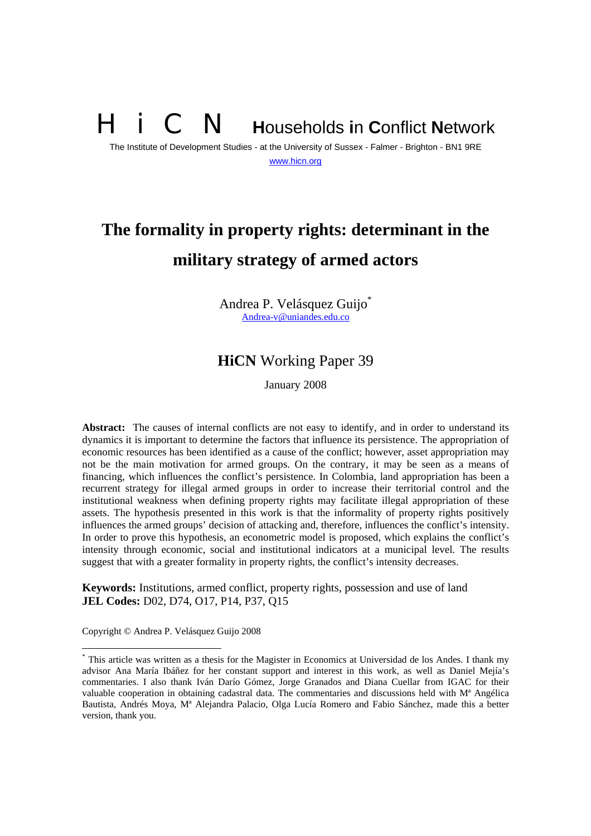# **N** Households in Conflict Network

The Institute of Development Studies - at the University of Sussex - Falmer - Brighton - BN1 9RE www.hicn.org

# **The formality in property rights: determinant in the military strategy of armed actors**

Andrea P. Velásquez Guijo\* Andrea-v@uniandes.edu.co

# **HiCN** Working Paper 39

January 2008

**Abstract:** The causes of internal conflicts are not easy to identify, and in order to understand its dynamics it is important to determine the factors that influence its persistence. The appropriation of economic resources has been identified as a cause of the conflict; however, asset appropriation may not be the main motivation for armed groups. On the contrary, it may be seen as a means of financing, which influences the conflict's persistence. In Colombia, land appropriation has been a recurrent strategy for illegal armed groups in order to increase their territorial control and the institutional weakness when defining property rights may facilitate illegal appropriation of these assets. The hypothesis presented in this work is that the informality of property rights positively influences the armed groups' decision of attacking and, therefore, influences the conflict's intensity. In order to prove this hypothesis, an econometric model is proposed, which explains the conflict's intensity through economic, social and institutional indicators at a municipal level. The results suggest that with a greater formality in property rights, the conflict's intensity decreases.

**Keywords:** Institutions, armed conflict, property rights, possession and use of land **JEL Codes:** D02, D74, O17, P14, P37, Q15

Copyright © Andrea P. Velásquez Guijo 2008

<sup>\*</sup> This article was written as a thesis for the Magister in Economics at Universidad de los Andes. I thank my advisor Ana María Ibáñez for her constant support and interest in this work, as well as Daniel Mejía's commentaries. I also thank Iván Darío Gómez, Jorge Granados and Diana Cuellar from IGAC for their valuable cooperation in obtaining cadastral data. The commentaries and discussions held with Mª Angélica Bautista, Andrés Moya, Mª Alejandra Palacio, Olga Lucía Romero and Fabio Sánchez, made this a better version, thank you.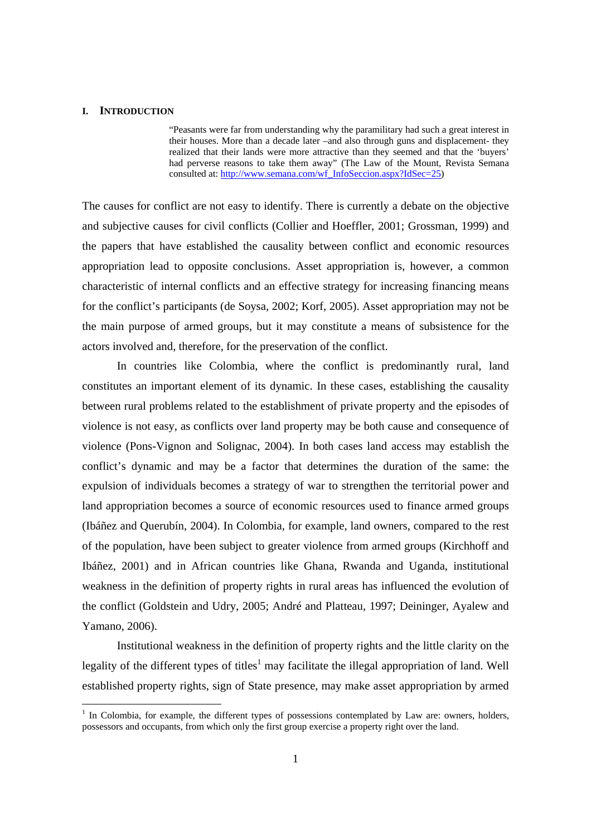#### **I. INTRODUCTION**

 "Peasants were far from understanding why the paramilitary had such a great interest in their houses. More than a decade later –and also through guns and displacement- they realized that their lands were more attractive than they seemed and that the 'buyers' had perverse reasons to take them away" (The Law of the Mount, Revista Semana consulted at: http://www.semana.com/wf\_InfoSeccion.aspx?IdSec=25)

The causes for conflict are not easy to identify. There is currently a debate on the objective and subjective causes for civil conflicts (Collier and Hoeffler, 2001; Grossman, 1999) and the papers that have established the causality between conflict and economic resources appropriation lead to opposite conclusions. Asset appropriation is, however, a common characteristic of internal conflicts and an effective strategy for increasing financing means for the conflict's participants (de Soysa, 2002; Korf, 2005). Asset appropriation may not be the main purpose of armed groups, but it may constitute a means of subsistence for the actors involved and, therefore, for the preservation of the conflict.

 In countries like Colombia, where the conflict is predominantly rural, land constitutes an important element of its dynamic. In these cases, establishing the causality between rural problems related to the establishment of private property and the episodes of violence is not easy, as conflicts over land property may be both cause and consequence of violence (Pons-Vignon and Solignac, 2004). In both cases land access may establish the conflict's dynamic and may be a factor that determines the duration of the same: the expulsion of individuals becomes a strategy of war to strengthen the territorial power and land appropriation becomes a source of economic resources used to finance armed groups (Ibáñez and Querubín, 2004). In Colombia, for example, land owners, compared to the rest of the population, have been subject to greater violence from armed groups (Kirchhoff and Ibáñez, 2001) and in African countries like Ghana, Rwanda and Uganda, institutional weakness in the definition of property rights in rural areas has influenced the evolution of the conflict (Goldstein and Udry, 2005; André and Platteau, 1997; Deininger, Ayalew and Yamano, 2006).

 Institutional weakness in the definition of property rights and the little clarity on the legality of the different types of titles<sup>1</sup> may facilitate the illegal appropriation of land. Well established property rights, sign of State presence, may make asset appropriation by armed

<sup>1</sup> In Colombia, for example, the different types of possessions contemplated by Law are: owners, holders, possessors and occupants, from which only the first group exercise a property right over the land.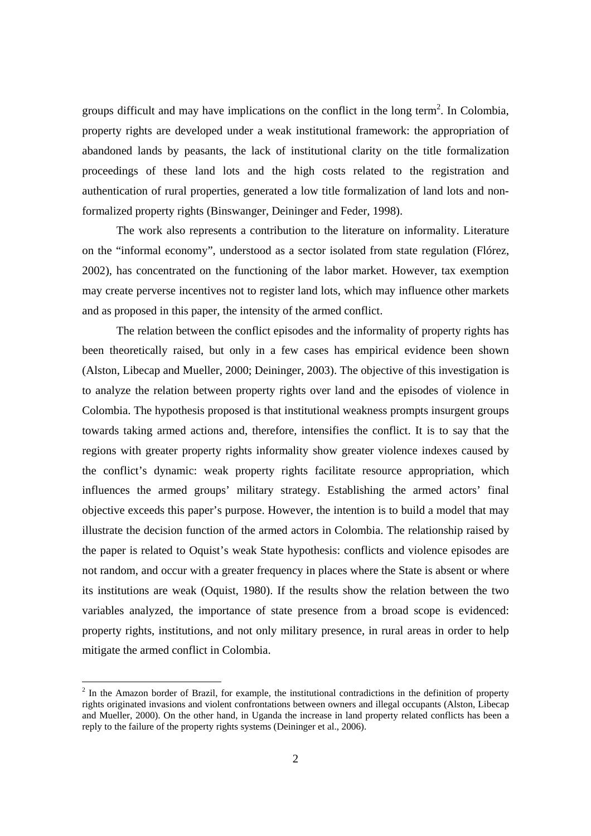groups difficult and may have implications on the conflict in the long term<sup>2</sup>. In Colombia, property rights are developed under a weak institutional framework: the appropriation of abandoned lands by peasants, the lack of institutional clarity on the title formalization proceedings of these land lots and the high costs related to the registration and authentication of rural properties, generated a low title formalization of land lots and nonformalized property rights (Binswanger, Deininger and Feder, 1998).

 The work also represents a contribution to the literature on informality. Literature on the "informal economy", understood as a sector isolated from state regulation (Flórez, 2002), has concentrated on the functioning of the labor market. However, tax exemption may create perverse incentives not to register land lots, which may influence other markets and as proposed in this paper, the intensity of the armed conflict.

The relation between the conflict episodes and the informality of property rights has been theoretically raised, but only in a few cases has empirical evidence been shown (Alston, Libecap and Mueller, 2000; Deininger, 2003). The objective of this investigation is to analyze the relation between property rights over land and the episodes of violence in Colombia. The hypothesis proposed is that institutional weakness prompts insurgent groups towards taking armed actions and, therefore, intensifies the conflict. It is to say that the regions with greater property rights informality show greater violence indexes caused by the conflict's dynamic: weak property rights facilitate resource appropriation, which influences the armed groups' military strategy. Establishing the armed actors' final objective exceeds this paper's purpose. However, the intention is to build a model that may illustrate the decision function of the armed actors in Colombia. The relationship raised by the paper is related to Oquist's weak State hypothesis: conflicts and violence episodes are not random, and occur with a greater frequency in places where the State is absent or where its institutions are weak (Oquist, 1980). If the results show the relation between the two variables analyzed, the importance of state presence from a broad scope is evidenced: property rights, institutions, and not only military presence, in rural areas in order to help mitigate the armed conflict in Colombia.

<sup>&</sup>lt;sup>2</sup> In the Amazon border of Brazil, for example, the institutional contradictions in the definition of property rights originated invasions and violent confrontations between owners and illegal occupants (Alston, Libecap and Mueller, 2000). On the other hand, in Uganda the increase in land property related conflicts has been a reply to the failure of the property rights systems (Deininger et al., 2006).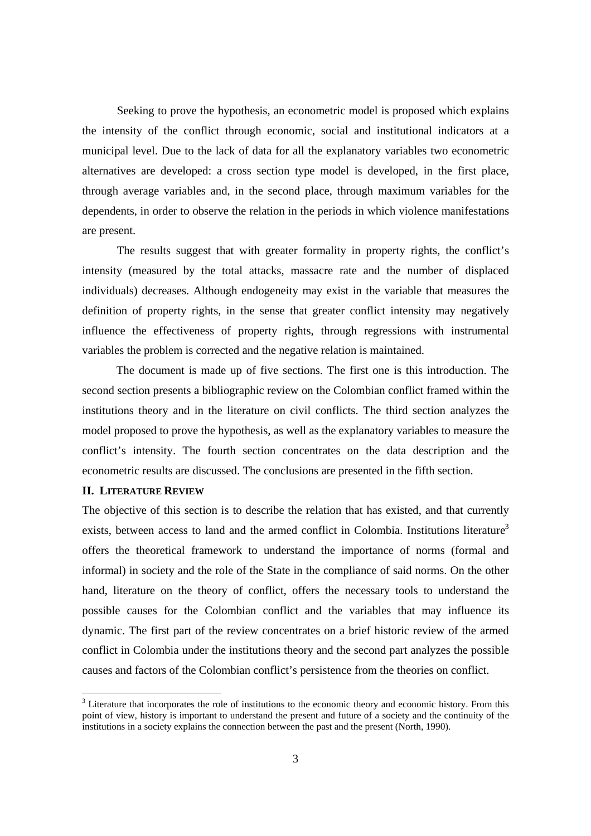Seeking to prove the hypothesis, an econometric model is proposed which explains the intensity of the conflict through economic, social and institutional indicators at a municipal level. Due to the lack of data for all the explanatory variables two econometric alternatives are developed: a cross section type model is developed, in the first place, through average variables and, in the second place, through maximum variables for the dependents, in order to observe the relation in the periods in which violence manifestations are present.

The results suggest that with greater formality in property rights, the conflict's intensity (measured by the total attacks, massacre rate and the number of displaced individuals) decreases. Although endogeneity may exist in the variable that measures the definition of property rights, in the sense that greater conflict intensity may negatively influence the effectiveness of property rights, through regressions with instrumental variables the problem is corrected and the negative relation is maintained.

The document is made up of five sections. The first one is this introduction. The second section presents a bibliographic review on the Colombian conflict framed within the institutions theory and in the literature on civil conflicts. The third section analyzes the model proposed to prove the hypothesis, as well as the explanatory variables to measure the conflict's intensity. The fourth section concentrates on the data description and the econometric results are discussed. The conclusions are presented in the fifth section.

#### **II. LITERATURE REVIEW**

The objective of this section is to describe the relation that has existed, and that currently exists, between access to land and the armed conflict in Colombia. Institutions literature<sup>3</sup> offers the theoretical framework to understand the importance of norms (formal and informal) in society and the role of the State in the compliance of said norms. On the other hand, literature on the theory of conflict, offers the necessary tools to understand the possible causes for the Colombian conflict and the variables that may influence its dynamic. The first part of the review concentrates on a brief historic review of the armed conflict in Colombia under the institutions theory and the second part analyzes the possible causes and factors of the Colombian conflict's persistence from the theories on conflict.

<sup>&</sup>lt;sup>3</sup> Literature that incorporates the role of institutions to the economic theory and economic history. From this point of view, history is important to understand the present and future of a society and the continuity of the institutions in a society explains the connection between the past and the present (North, 1990).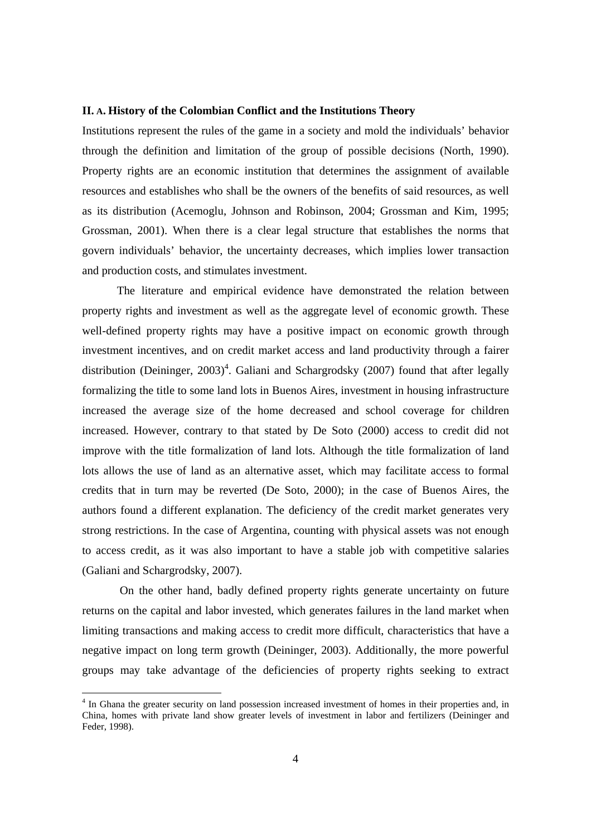#### **II. A. History of the Colombian Conflict and the Institutions Theory**

Institutions represent the rules of the game in a society and mold the individuals' behavior through the definition and limitation of the group of possible decisions (North, 1990). Property rights are an economic institution that determines the assignment of available resources and establishes who shall be the owners of the benefits of said resources, as well as its distribution (Acemoglu, Johnson and Robinson, 2004; Grossman and Kim, 1995; Grossman, 2001). When there is a clear legal structure that establishes the norms that govern individuals' behavior, the uncertainty decreases, which implies lower transaction and production costs, and stimulates investment.

The literature and empirical evidence have demonstrated the relation between property rights and investment as well as the aggregate level of economic growth. These well-defined property rights may have a positive impact on economic growth through investment incentives, and on credit market access and land productivity through a fairer distribution (Deininger,  $2003)^4$ . Galiani and Schargrodsky (2007) found that after legally formalizing the title to some land lots in Buenos Aires, investment in housing infrastructure increased the average size of the home decreased and school coverage for children increased. However, contrary to that stated by De Soto (2000) access to credit did not improve with the title formalization of land lots. Although the title formalization of land lots allows the use of land as an alternative asset, which may facilitate access to formal credits that in turn may be reverted (De Soto, 2000); in the case of Buenos Aires, the authors found a different explanation. The deficiency of the credit market generates very strong restrictions. In the case of Argentina, counting with physical assets was not enough to access credit, as it was also important to have a stable job with competitive salaries (Galiani and Schargrodsky, 2007).

 On the other hand, badly defined property rights generate uncertainty on future returns on the capital and labor invested, which generates failures in the land market when limiting transactions and making access to credit more difficult, characteristics that have a negative impact on long term growth (Deininger, 2003). Additionally, the more powerful groups may take advantage of the deficiencies of property rights seeking to extract

<sup>&</sup>lt;sup>4</sup> In Ghana the greater security on land possession increased investment of homes in their properties and, in China, homes with private land show greater levels of investment in labor and fertilizers (Deininger and Feder, 1998).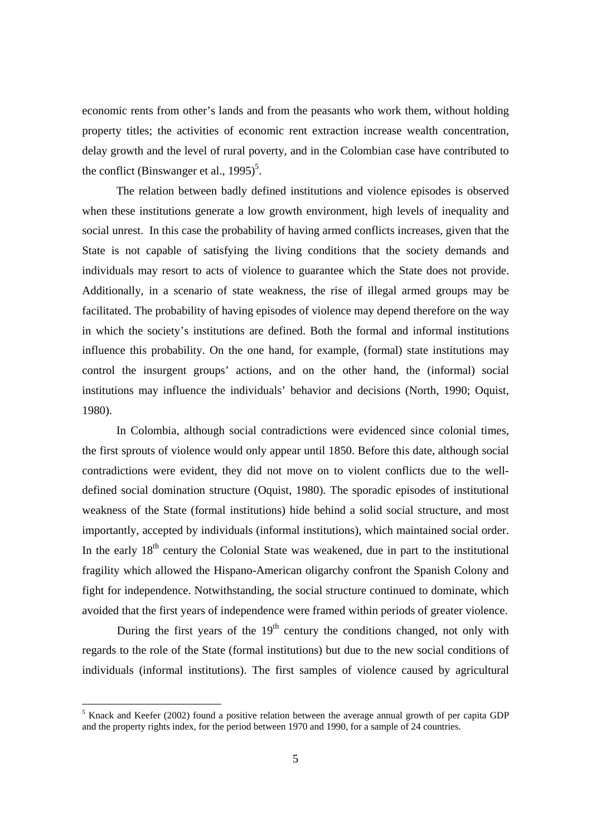economic rents from other's lands and from the peasants who work them, without holding property titles; the activities of economic rent extraction increase wealth concentration, delay growth and the level of rural poverty, and in the Colombian case have contributed to the conflict (Binswanger et al.,  $1995$ )<sup>5</sup>.

The relation between badly defined institutions and violence episodes is observed when these institutions generate a low growth environment, high levels of inequality and social unrest. In this case the probability of having armed conflicts increases, given that the State is not capable of satisfying the living conditions that the society demands and individuals may resort to acts of violence to guarantee which the State does not provide. Additionally, in a scenario of state weakness, the rise of illegal armed groups may be facilitated. The probability of having episodes of violence may depend therefore on the way in which the society's institutions are defined. Both the formal and informal institutions influence this probability. On the one hand, for example, (formal) state institutions may control the insurgent groups' actions, and on the other hand, the (informal) social institutions may influence the individuals' behavior and decisions (North, 1990; Oquist, 1980).

In Colombia, although social contradictions were evidenced since colonial times, the first sprouts of violence would only appear until 1850. Before this date, although social contradictions were evident, they did not move on to violent conflicts due to the welldefined social domination structure (Oquist, 1980). The sporadic episodes of institutional weakness of the State (formal institutions) hide behind a solid social structure, and most importantly, accepted by individuals (informal institutions), which maintained social order. In the early  $18<sup>th</sup>$  century the Colonial State was weakened, due in part to the institutional fragility which allowed the Hispano-American oligarchy confront the Spanish Colony and fight for independence. Notwithstanding, the social structure continued to dominate, which avoided that the first years of independence were framed within periods of greater violence.

During the first years of the  $19<sup>th</sup>$  century the conditions changed, not only with regards to the role of the State (formal institutions) but due to the new social conditions of individuals (informal institutions). The first samples of violence caused by agricultural

 5 Knack and Keefer (2002) found a positive relation between the average annual growth of per capita GDP and the property rights index, for the period between 1970 and 1990, for a sample of 24 countries.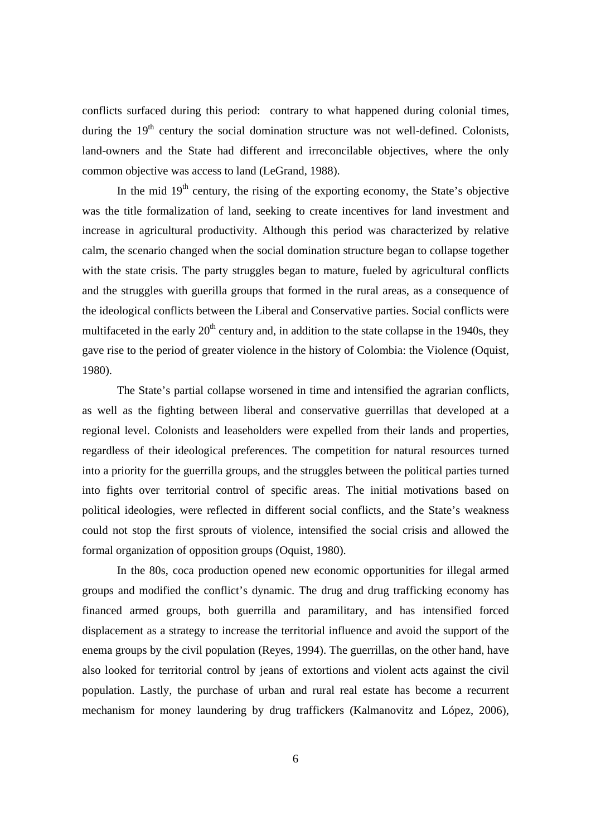conflicts surfaced during this period: contrary to what happened during colonial times, during the  $19<sup>th</sup>$  century the social domination structure was not well-defined. Colonists, land-owners and the State had different and irreconcilable objectives, where the only common objective was access to land (LeGrand, 1988).

In the mid  $19<sup>th</sup>$  century, the rising of the exporting economy, the State's objective was the title formalization of land, seeking to create incentives for land investment and increase in agricultural productivity. Although this period was characterized by relative calm, the scenario changed when the social domination structure began to collapse together with the state crisis. The party struggles began to mature, fueled by agricultural conflicts and the struggles with guerilla groups that formed in the rural areas, as a consequence of the ideological conflicts between the Liberal and Conservative parties. Social conflicts were multifaceted in the early  $20<sup>th</sup>$  century and, in addition to the state collapse in the 1940s, they gave rise to the period of greater violence in the history of Colombia: the Violence (Oquist, 1980).

The State's partial collapse worsened in time and intensified the agrarian conflicts, as well as the fighting between liberal and conservative guerrillas that developed at a regional level. Colonists and leaseholders were expelled from their lands and properties, regardless of their ideological preferences. The competition for natural resources turned into a priority for the guerrilla groups, and the struggles between the political parties turned into fights over territorial control of specific areas. The initial motivations based on political ideologies, were reflected in different social conflicts, and the State's weakness could not stop the first sprouts of violence, intensified the social crisis and allowed the formal organization of opposition groups (Oquist, 1980).

In the 80s, coca production opened new economic opportunities for illegal armed groups and modified the conflict's dynamic. The drug and drug trafficking economy has financed armed groups, both guerrilla and paramilitary, and has intensified forced displacement as a strategy to increase the territorial influence and avoid the support of the enema groups by the civil population (Reyes, 1994). The guerrillas, on the other hand, have also looked for territorial control by jeans of extortions and violent acts against the civil population. Lastly, the purchase of urban and rural real estate has become a recurrent mechanism for money laundering by drug traffickers (Kalmanovitz and López, 2006),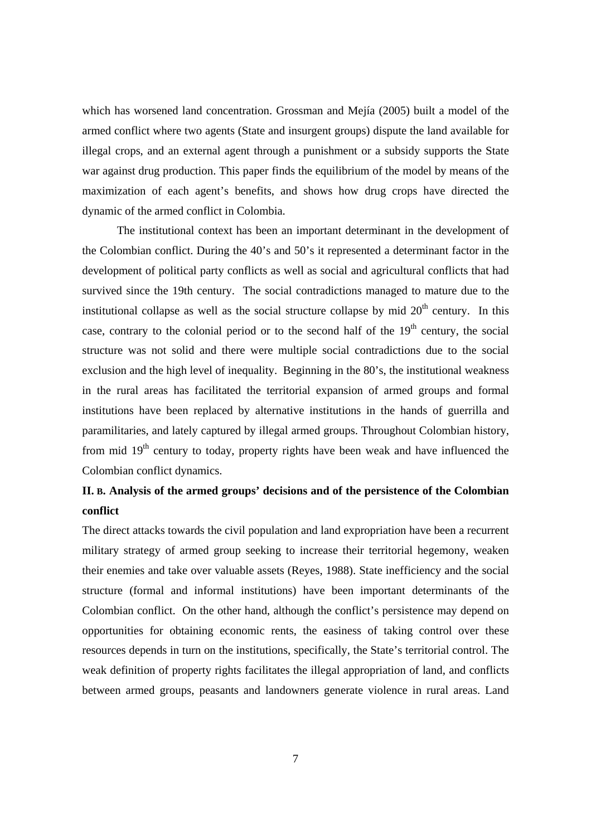which has worsened land concentration. Grossman and Mejía (2005) built a model of the armed conflict where two agents (State and insurgent groups) dispute the land available for illegal crops, and an external agent through a punishment or a subsidy supports the State war against drug production. This paper finds the equilibrium of the model by means of the maximization of each agent's benefits, and shows how drug crops have directed the dynamic of the armed conflict in Colombia.

The institutional context has been an important determinant in the development of the Colombian conflict. During the 40's and 50's it represented a determinant factor in the development of political party conflicts as well as social and agricultural conflicts that had survived since the 19th century. The social contradictions managed to mature due to the institutional collapse as well as the social structure collapse by mid  $20<sup>th</sup>$  century. In this case, contrary to the colonial period or to the second half of the  $19<sup>th</sup>$  century, the social structure was not solid and there were multiple social contradictions due to the social exclusion and the high level of inequality. Beginning in the 80's, the institutional weakness in the rural areas has facilitated the territorial expansion of armed groups and formal institutions have been replaced by alternative institutions in the hands of guerrilla and paramilitaries, and lately captured by illegal armed groups. Throughout Colombian history, from mid  $19<sup>th</sup>$  century to today, property rights have been weak and have influenced the Colombian conflict dynamics.

# **II. B. Analysis of the armed groups' decisions and of the persistence of the Colombian conflict**

The direct attacks towards the civil population and land expropriation have been a recurrent military strategy of armed group seeking to increase their territorial hegemony, weaken their enemies and take over valuable assets (Reyes, 1988). State inefficiency and the social structure (formal and informal institutions) have been important determinants of the Colombian conflict. On the other hand, although the conflict's persistence may depend on opportunities for obtaining economic rents, the easiness of taking control over these resources depends in turn on the institutions, specifically, the State's territorial control. The weak definition of property rights facilitates the illegal appropriation of land, and conflicts between armed groups, peasants and landowners generate violence in rural areas. Land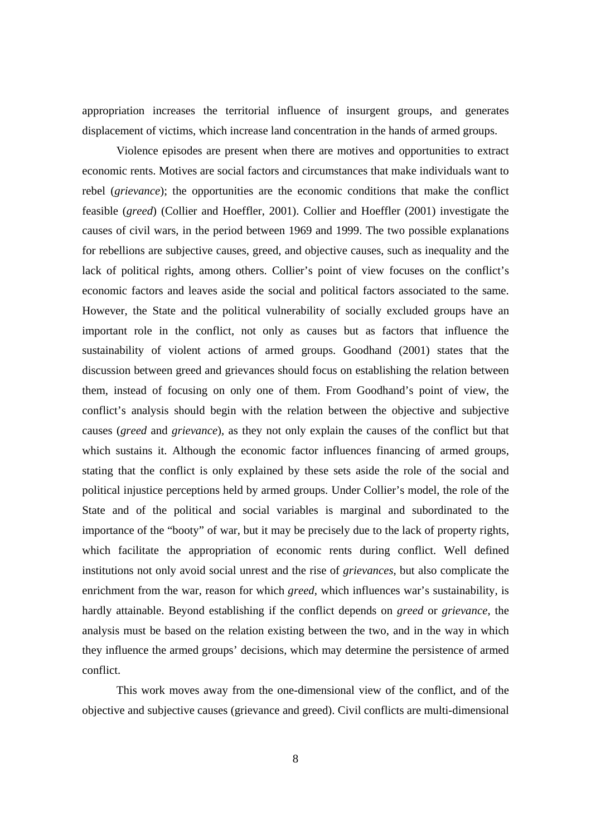appropriation increases the territorial influence of insurgent groups, and generates displacement of victims, which increase land concentration in the hands of armed groups.

Violence episodes are present when there are motives and opportunities to extract economic rents. Motives are social factors and circumstances that make individuals want to rebel (*grievance*); the opportunities are the economic conditions that make the conflict feasible (*greed*) (Collier and Hoeffler, 2001). Collier and Hoeffler (2001) investigate the causes of civil wars, in the period between 1969 and 1999. The two possible explanations for rebellions are subjective causes, greed, and objective causes, such as inequality and the lack of political rights, among others. Collier's point of view focuses on the conflict's economic factors and leaves aside the social and political factors associated to the same. However, the State and the political vulnerability of socially excluded groups have an important role in the conflict, not only as causes but as factors that influence the sustainability of violent actions of armed groups. Goodhand (2001) states that the discussion between greed and grievances should focus on establishing the relation between them, instead of focusing on only one of them. From Goodhand's point of view, the conflict's analysis should begin with the relation between the objective and subjective causes (*greed* and *grievance*), as they not only explain the causes of the conflict but that which sustains it. Although the economic factor influences financing of armed groups, stating that the conflict is only explained by these sets aside the role of the social and political injustice perceptions held by armed groups. Under Collier's model, the role of the State and of the political and social variables is marginal and subordinated to the importance of the "booty" of war, but it may be precisely due to the lack of property rights, which facilitate the appropriation of economic rents during conflict. Well defined institutions not only avoid social unrest and the rise of *grievances*, but also complicate the enrichment from the war, reason for which *greed*, which influences war's sustainability, is hardly attainable. Beyond establishing if the conflict depends on *greed* or *grievance*, the analysis must be based on the relation existing between the two, and in the way in which they influence the armed groups' decisions, which may determine the persistence of armed conflict.

This work moves away from the one-dimensional view of the conflict, and of the objective and subjective causes (grievance and greed). Civil conflicts are multi-dimensional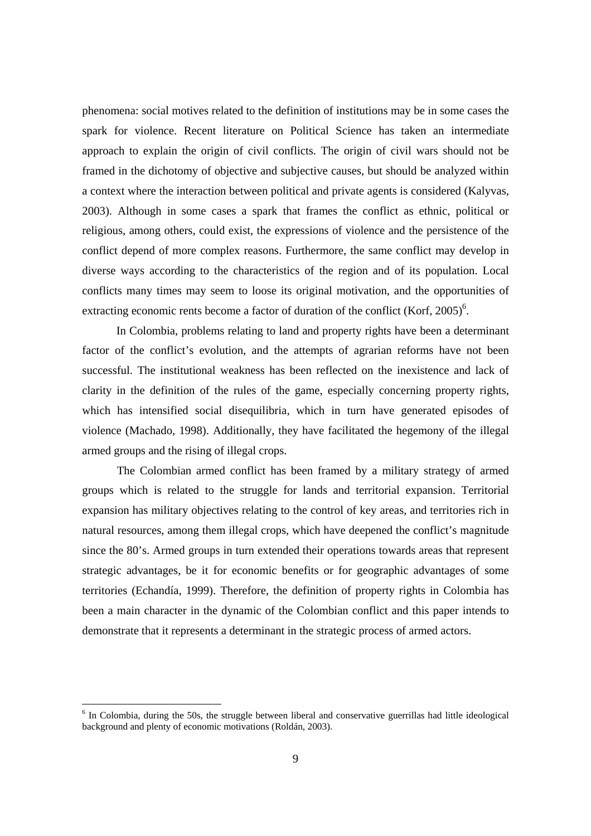phenomena: social motives related to the definition of institutions may be in some cases the spark for violence. Recent literature on Political Science has taken an intermediate approach to explain the origin of civil conflicts. The origin of civil wars should not be framed in the dichotomy of objective and subjective causes, but should be analyzed within a context where the interaction between political and private agents is considered (Kalyvas, 2003). Although in some cases a spark that frames the conflict as ethnic, political or religious, among others, could exist, the expressions of violence and the persistence of the conflict depend of more complex reasons. Furthermore, the same conflict may develop in diverse ways according to the characteristics of the region and of its population. Local conflicts many times may seem to loose its original motivation, and the opportunities of extracting economic rents become a factor of duration of the conflict (Korf,  $2005$ )<sup>6</sup>.

In Colombia, problems relating to land and property rights have been a determinant factor of the conflict's evolution, and the attempts of agrarian reforms have not been successful. The institutional weakness has been reflected on the inexistence and lack of clarity in the definition of the rules of the game, especially concerning property rights, which has intensified social disequilibria, which in turn have generated episodes of violence (Machado, 1998). Additionally, they have facilitated the hegemony of the illegal armed groups and the rising of illegal crops.

The Colombian armed conflict has been framed by a military strategy of armed groups which is related to the struggle for lands and territorial expansion. Territorial expansion has military objectives relating to the control of key areas, and territories rich in natural resources, among them illegal crops, which have deepened the conflict's magnitude since the 80's. Armed groups in turn extended their operations towards areas that represent strategic advantages, be it for economic benefits or for geographic advantages of some territories (Echandía, 1999). Therefore, the definition of property rights in Colombia has been a main character in the dynamic of the Colombian conflict and this paper intends to demonstrate that it represents a determinant in the strategic process of armed actors.

<sup>&</sup>lt;sup>6</sup> In Colombia, during the 50s, the struggle between liberal and conservative guerrillas had little ideological background and plenty of economic motivations (Roldán, 2003).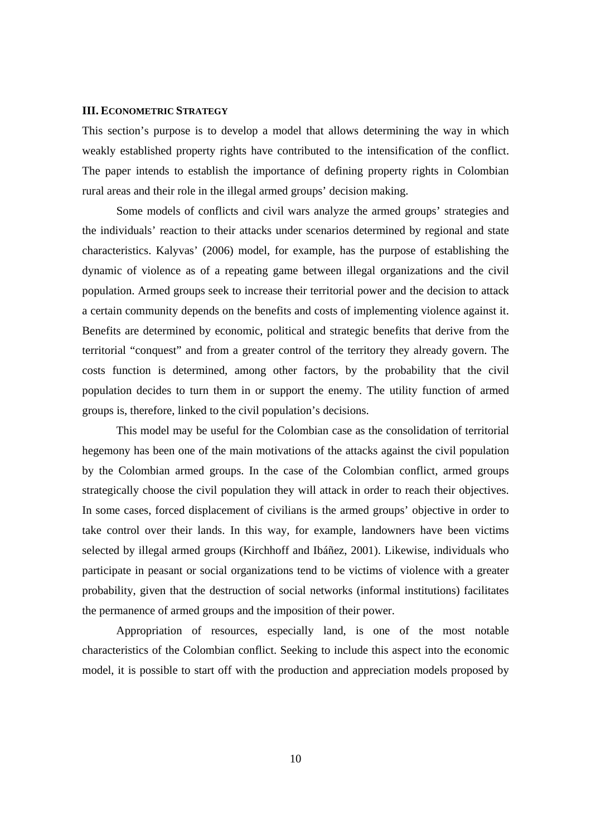#### **III. ECONOMETRIC STRATEGY**

This section's purpose is to develop a model that allows determining the way in which weakly established property rights have contributed to the intensification of the conflict. The paper intends to establish the importance of defining property rights in Colombian rural areas and their role in the illegal armed groups' decision making.

 Some models of conflicts and civil wars analyze the armed groups' strategies and the individuals' reaction to their attacks under scenarios determined by regional and state characteristics. Kalyvas' (2006) model, for example, has the purpose of establishing the dynamic of violence as of a repeating game between illegal organizations and the civil population. Armed groups seek to increase their territorial power and the decision to attack a certain community depends on the benefits and costs of implementing violence against it. Benefits are determined by economic, political and strategic benefits that derive from the territorial "conquest" and from a greater control of the territory they already govern. The costs function is determined, among other factors, by the probability that the civil population decides to turn them in or support the enemy. The utility function of armed groups is, therefore, linked to the civil population's decisions.

This model may be useful for the Colombian case as the consolidation of territorial hegemony has been one of the main motivations of the attacks against the civil population by the Colombian armed groups. In the case of the Colombian conflict, armed groups strategically choose the civil population they will attack in order to reach their objectives. In some cases, forced displacement of civilians is the armed groups' objective in order to take control over their lands. In this way, for example, landowners have been victims selected by illegal armed groups (Kirchhoff and Ibáñez, 2001). Likewise, individuals who participate in peasant or social organizations tend to be victims of violence with a greater probability, given that the destruction of social networks (informal institutions) facilitates the permanence of armed groups and the imposition of their power.

 Appropriation of resources, especially land, is one of the most notable characteristics of the Colombian conflict. Seeking to include this aspect into the economic model, it is possible to start off with the production and appreciation models proposed by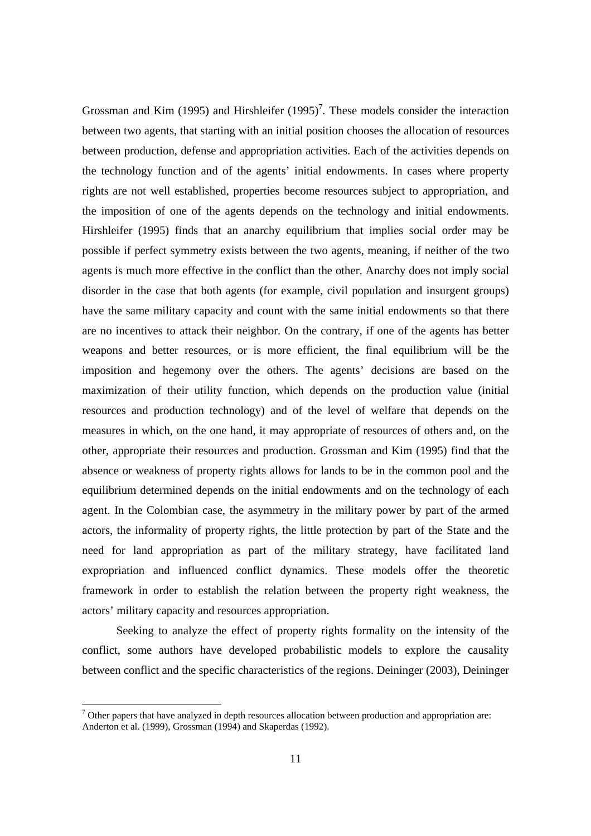Grossman and Kim (1995) and Hirshleifer  $(1995)^7$ . These models consider the interaction between two agents, that starting with an initial position chooses the allocation of resources between production, defense and appropriation activities. Each of the activities depends on the technology function and of the agents' initial endowments. In cases where property rights are not well established, properties become resources subject to appropriation, and the imposition of one of the agents depends on the technology and initial endowments. Hirshleifer (1995) finds that an anarchy equilibrium that implies social order may be possible if perfect symmetry exists between the two agents, meaning, if neither of the two agents is much more effective in the conflict than the other. Anarchy does not imply social disorder in the case that both agents (for example, civil population and insurgent groups) have the same military capacity and count with the same initial endowments so that there are no incentives to attack their neighbor. On the contrary, if one of the agents has better weapons and better resources, or is more efficient, the final equilibrium will be the imposition and hegemony over the others. The agents' decisions are based on the maximization of their utility function, which depends on the production value (initial resources and production technology) and of the level of welfare that depends on the measures in which, on the one hand, it may appropriate of resources of others and, on the other, appropriate their resources and production. Grossman and Kim (1995) find that the absence or weakness of property rights allows for lands to be in the common pool and the equilibrium determined depends on the initial endowments and on the technology of each agent. In the Colombian case, the asymmetry in the military power by part of the armed actors, the informality of property rights, the little protection by part of the State and the need for land appropriation as part of the military strategy, have facilitated land expropriation and influenced conflict dynamics. These models offer the theoretic framework in order to establish the relation between the property right weakness, the actors' military capacity and resources appropriation.

 Seeking to analyze the effect of property rights formality on the intensity of the conflict, some authors have developed probabilistic models to explore the causality between conflict and the specific characteristics of the regions. Deininger (2003), Deininger

 $7$  Other papers that have analyzed in depth resources allocation between production and appropriation are: Anderton et al. (1999), Grossman (1994) and Skaperdas (1992).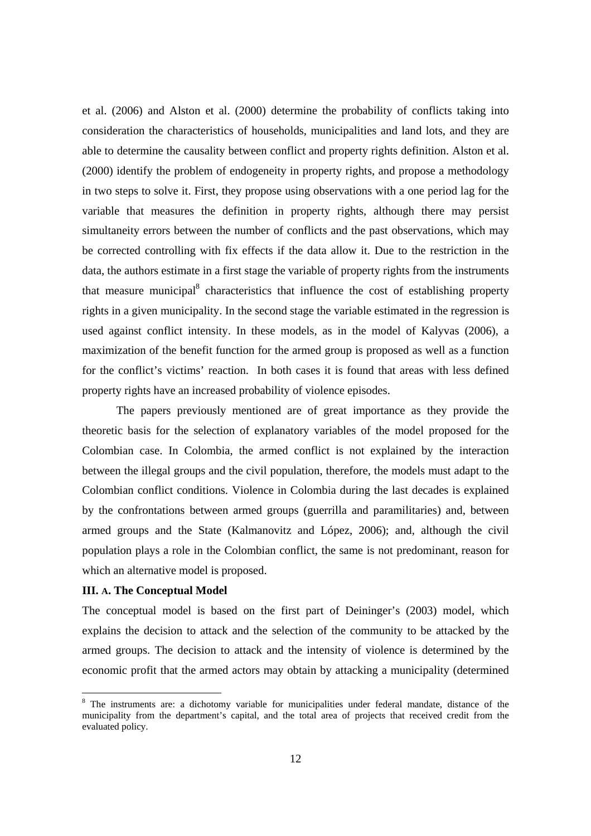et al. (2006) and Alston et al. (2000) determine the probability of conflicts taking into consideration the characteristics of households, municipalities and land lots, and they are able to determine the causality between conflict and property rights definition. Alston et al. (2000) identify the problem of endogeneity in property rights, and propose a methodology in two steps to solve it. First, they propose using observations with a one period lag for the variable that measures the definition in property rights, although there may persist simultaneity errors between the number of conflicts and the past observations, which may be corrected controlling with fix effects if the data allow it. Due to the restriction in the data, the authors estimate in a first stage the variable of property rights from the instruments that measure municipal<sup>8</sup> characteristics that influence the cost of establishing property rights in a given municipality. In the second stage the variable estimated in the regression is used against conflict intensity. In these models, as in the model of Kalyvas (2006), a maximization of the benefit function for the armed group is proposed as well as a function for the conflict's victims' reaction. In both cases it is found that areas with less defined property rights have an increased probability of violence episodes.

The papers previously mentioned are of great importance as they provide the theoretic basis for the selection of explanatory variables of the model proposed for the Colombian case. In Colombia, the armed conflict is not explained by the interaction between the illegal groups and the civil population, therefore, the models must adapt to the Colombian conflict conditions. Violence in Colombia during the last decades is explained by the confrontations between armed groups (guerrilla and paramilitaries) and, between armed groups and the State (Kalmanovitz and López, 2006); and, although the civil population plays a role in the Colombian conflict, the same is not predominant, reason for which an alternative model is proposed.

#### **III. A. The Conceptual Model**

The conceptual model is based on the first part of Deininger's (2003) model, which explains the decision to attack and the selection of the community to be attacked by the armed groups. The decision to attack and the intensity of violence is determined by the economic profit that the armed actors may obtain by attacking a municipality (determined

<sup>8</sup> The instruments are: a dichotomy variable for municipalities under federal mandate, distance of the municipality from the department's capital, and the total area of projects that received credit from the evaluated policy.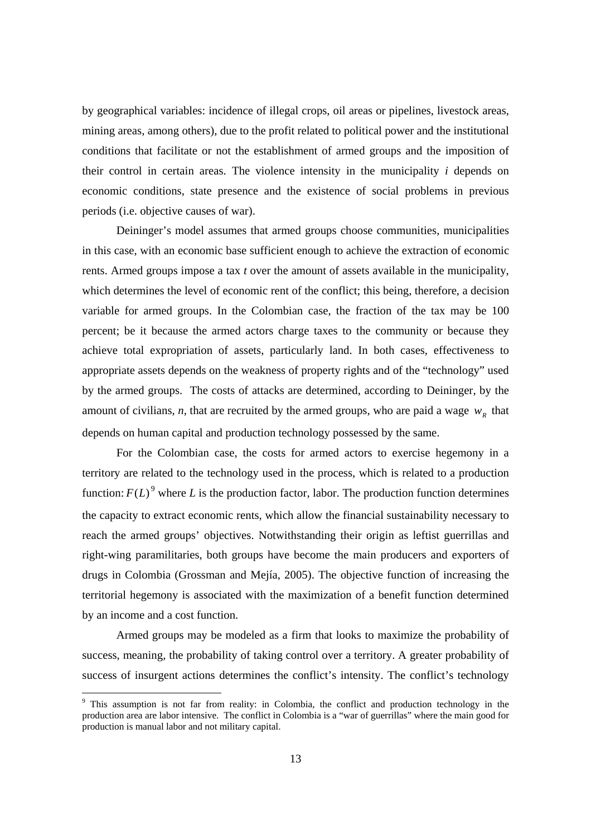by geographical variables: incidence of illegal crops, oil areas or pipelines, livestock areas, mining areas, among others), due to the profit related to political power and the institutional conditions that facilitate or not the establishment of armed groups and the imposition of their control in certain areas. The violence intensity in the municipality *i* depends on economic conditions, state presence and the existence of social problems in previous periods (i.e. objective causes of war).

Deininger's model assumes that armed groups choose communities, municipalities in this case, with an economic base sufficient enough to achieve the extraction of economic rents. Armed groups impose a tax *t* over the amount of assets available in the municipality, which determines the level of economic rent of the conflict; this being, therefore, a decision variable for armed groups. In the Colombian case, the fraction of the tax may be 100 percent; be it because the armed actors charge taxes to the community or because they achieve total expropriation of assets, particularly land. In both cases, effectiveness to appropriate assets depends on the weakness of property rights and of the "technology" used by the armed groups. The costs of attacks are determined, according to Deininger, by the amount of civilians, *n*, that are recruited by the armed groups, who are paid a wage  $w_R$  that depends on human capital and production technology possessed by the same.

For the Colombian case, the costs for armed actors to exercise hegemony in a territory are related to the technology used in the process, which is related to a production function:  $F(L)$ <sup>9</sup> where *L* is the production factor, labor. The production function determines the capacity to extract economic rents, which allow the financial sustainability necessary to reach the armed groups' objectives. Notwithstanding their origin as leftist guerrillas and right-wing paramilitaries, both groups have become the main producers and exporters of drugs in Colombia (Grossman and Mejía, 2005). The objective function of increasing the territorial hegemony is associated with the maximization of a benefit function determined by an income and a cost function.

Armed groups may be modeled as a firm that looks to maximize the probability of success, meaning, the probability of taking control over a territory. A greater probability of success of insurgent actions determines the conflict's intensity. The conflict's technology

<sup>&</sup>lt;sup>9</sup> This assumption is not far from reality: in Colombia, the conflict and production technology in the production area are labor intensive. The conflict in Colombia is a "war of guerrillas" where the main good for production is manual labor and not military capital.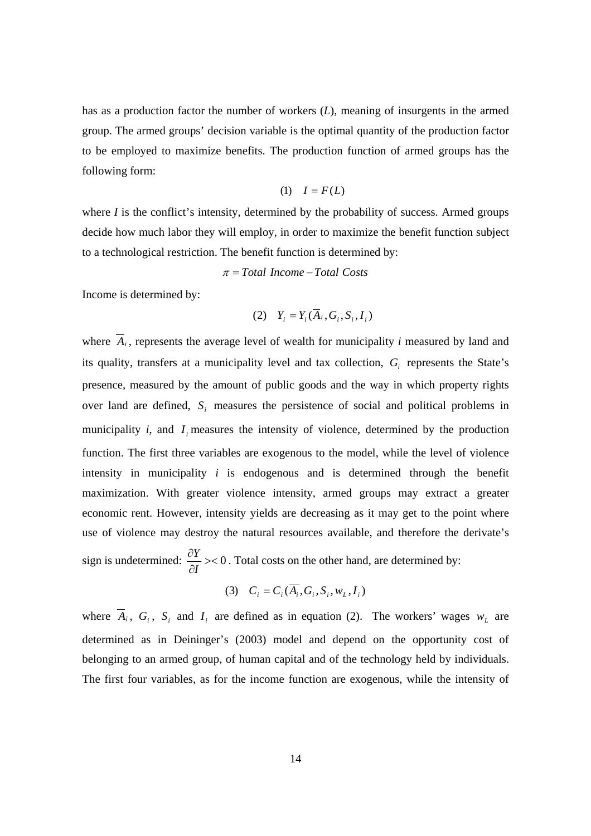has as a production factor the number of workers (*L*), meaning of insurgents in the armed group. The armed groups' decision variable is the optimal quantity of the production factor to be employed to maximize benefits. The production function of armed groups has the following form:

$$
(1) \quad I = F(L)
$$

where *I* is the conflict's intensity, determined by the probability of success. Armed groups decide how much labor they will employ, in order to maximize the benefit function subject to a technological restriction. The benefit function is determined by:

<sup>π</sup> = *Total Income* −*Total Costs*

Income is determined by:

$$
(2) \quad Y_i = Y_i(\overline{A}_i, G_i, S_i, I_i)
$$

where  $\overline{A}_i$ , represents the average level of wealth for municipality *i* measured by land and its quality, transfers at a municipality level and tax collection,  $G<sub>i</sub>$  represents the State's presence, measured by the amount of public goods and the way in which property rights over land are defined,  $S_i$  measures the persistence of social and political problems in municipality  $i$ , and  $I$ , measures the intensity of violence, determined by the production function. The first three variables are exogenous to the model, while the level of violence intensity in municipality *i* is endogenous and is determined through the benefit maximization. With greater violence intensity, armed groups may extract a greater economic rent. However, intensity yields are decreasing as it may get to the point where use of violence may destroy the natural resources available, and therefore the derivate's sign is undetermined:  $\frac{U}{\gamma}$  >< 0 ∂ ∂ *I*  $\frac{Y}{Y}$  > < 0. Total costs on the other hand, are determined by:

$$
(3) \quad C_i = C_i(\overline{A_i}, G_i, S_i, w_L, I_i)
$$

where  $\overline{A}_i$ ,  $G_i$ ,  $S_i$  and  $I_i$  are defined as in equation (2). The workers' wages  $w_L$  are determined as in Deininger's (2003) model and depend on the opportunity cost of belonging to an armed group, of human capital and of the technology held by individuals. The first four variables, as for the income function are exogenous, while the intensity of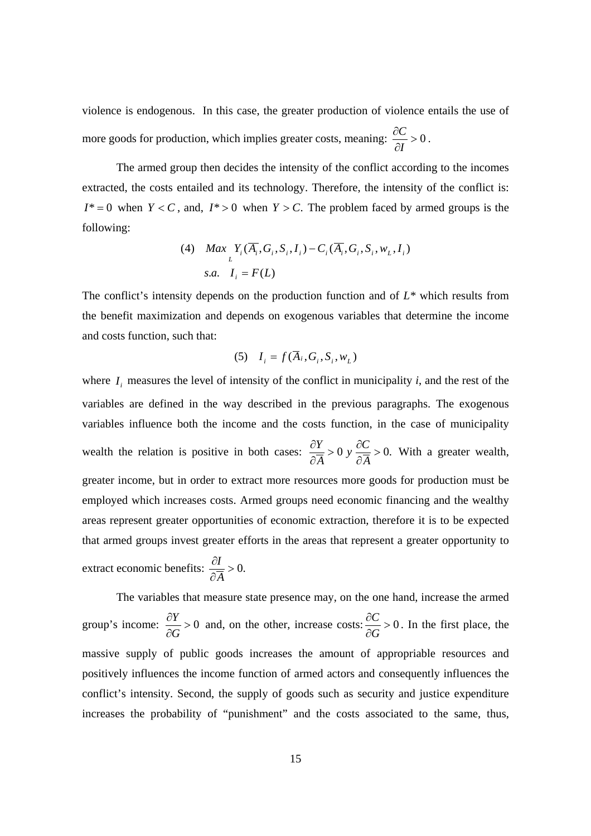violence is endogenous. In this case, the greater production of violence entails the use of more goods for production, which implies greater costs, meaning:  $\frac{\partial C}{\partial x} > 0$ ∂ ∂ *I*  $\frac{C}{c} > 0$ .

 The armed group then decides the intensity of the conflict according to the incomes extracted, the costs entailed and its technology. Therefore, the intensity of the conflict is:  $I^* = 0$  when  $Y < C$ , and,  $I^* > 0$  when  $Y > C$ . The problem faced by armed groups is the following:

(4) Max 
$$
\underset{L}{\sum} Y_i(\overline{A}_i, G_i, S_i, I_i) - C_i(\overline{A}_i, G_i, S_i, w_L, I_i)
$$
  
s.a.  $I_i = F(L)$ 

The conflict's intensity depends on the production function and of *L\** which results from the benefit maximization and depends on exogenous variables that determine the income and costs function, such that:

$$
(5) \quad I_i = f(\overline{A}_i, G_i, S_i, w_L)
$$

where  $I_i$  measures the level of intensity of the conflict in municipality *i*, and the rest of the variables are defined in the way described in the previous paragraphs. The exogenous variables influence both the income and the costs function, in the case of municipality wealth the relation is positive in both cases:  $\frac{\partial Y}{\partial \overline{A}} > 0$ ,  $\frac{\partial C}{\partial \overline{A}} > 0$ . ∂ ∂ *A*  $\frac{Y}{\overline{A}} > 0$  *y*  $\frac{\partial C}{\partial \overline{A}} > 0$ . With a greater wealth, greater income, but in order to extract more resources more goods for production must be employed which increases costs. Armed groups need economic financing and the wealthy areas represent greater opportunities of economic extraction, therefore it is to be expected that armed groups invest greater efforts in the areas that represent a greater opportunity to

extract economic benefits:  $\frac{\partial I}{\partial \overline{A}} > 0$ . *A*  $\frac{I}{\equiv} > 0.$ 

The variables that measure state presence may, on the one hand, increase the armed group's income:  $\frac{01}{10} > 0$ ∂ ∂ *G*  $\frac{Y}{Z} > 0$  and, on the other, increase costs:  $\frac{\partial C}{\partial Z} > 0$ ∂ ∂ *G*  $\frac{C}{2}$  > 0. In the first place, the massive supply of public goods increases the amount of appropriable resources and positively influences the income function of armed actors and consequently influences the conflict's intensity. Second, the supply of goods such as security and justice expenditure increases the probability of "punishment" and the costs associated to the same, thus,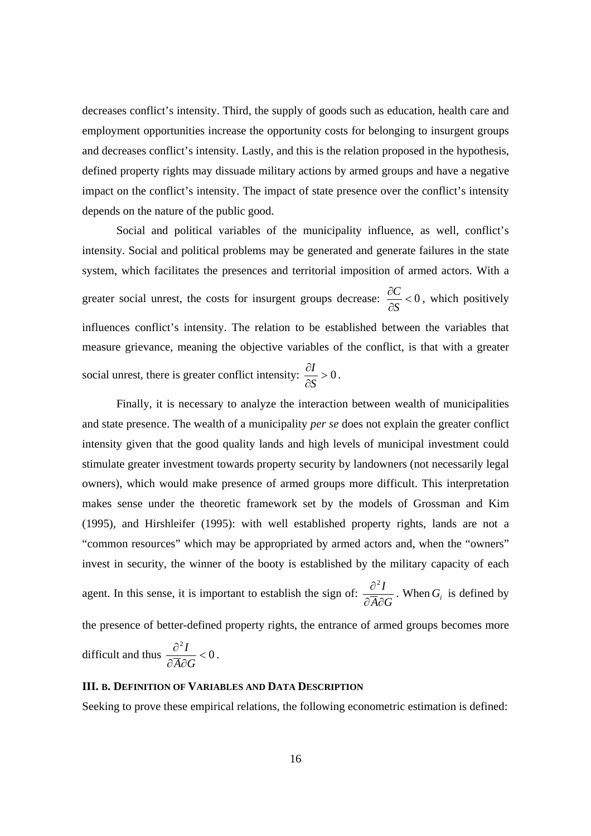decreases conflict's intensity. Third, the supply of goods such as education, health care and employment opportunities increase the opportunity costs for belonging to insurgent groups and decreases conflict's intensity. Lastly, and this is the relation proposed in the hypothesis, defined property rights may dissuade military actions by armed groups and have a negative impact on the conflict's intensity. The impact of state presence over the conflict's intensity depends on the nature of the public good.

Social and political variables of the municipality influence, as well, conflict's intensity. Social and political problems may be generated and generate failures in the state system, which facilitates the presences and territorial imposition of armed actors. With a greater social unrest, the costs for insurgent groups decrease:  $\frac{\partial C}{\partial x} < 0$ ∂ ∂ *S*  $\frac{C}{\sqrt{2}}$  < 0, which positively influences conflict's intensity. The relation to be established between the variables that measure grievance, meaning the objective variables of the conflict, is that with a greater social unrest, there is greater conflict intensity:  $\frac{U_I}{I} > 0$ ∂ ∂ *S*  $\frac{I}{a} > 0$ .

Finally, it is necessary to analyze the interaction between wealth of municipalities and state presence. The wealth of a municipality *per se* does not explain the greater conflict intensity given that the good quality lands and high levels of municipal investment could stimulate greater investment towards property security by landowners (not necessarily legal owners), which would make presence of armed groups more difficult. This interpretation makes sense under the theoretic framework set by the models of Grossman and Kim (1995), and Hirshleifer (1995): with well established property rights, lands are not a "common resources" which may be appropriated by armed actors and, when the "owners" invest in security, the winner of the booty is established by the military capacity of each agent. In this sense, it is important to establish the sign of:  $\frac{\partial^2 I}{\partial \overline{A} \partial G}$  $\partial \overline{A}\partial$  $\partial^2$ . When  $G_i$  is defined by the presence of better-defined property rights, the entrance of armed groups becomes more difficult and thus  $\frac{0}{2}$  = 0 2  $\lt$  $\partial \overline{A}\partial$ ∂  $\overline{A} \partial G$  $\frac{I}{\sqrt{2}} < 0$ .

#### **III. B. DEFINITION OF VARIABLES AND DATA DESCRIPTION**

Seeking to prove these empirical relations, the following econometric estimation is defined: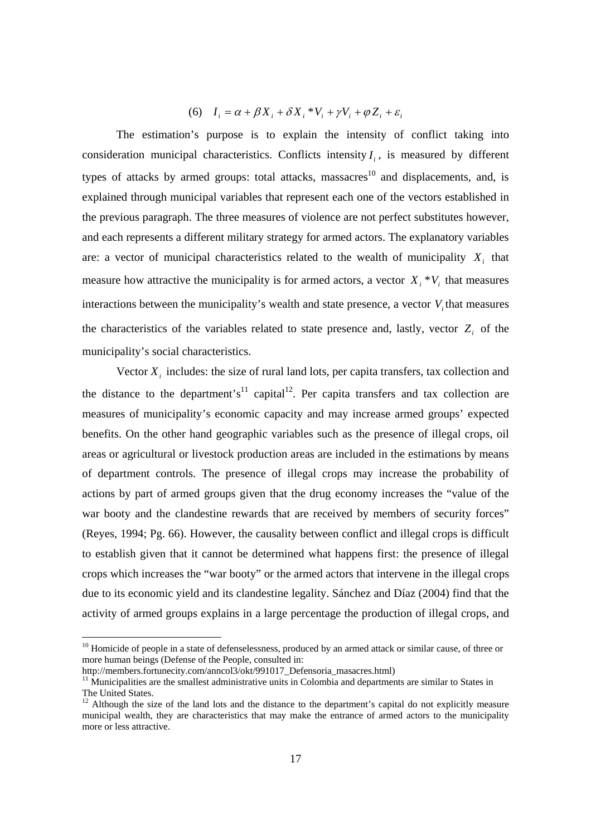### *i*  $I_i = \alpha + \beta X_i + \delta X_i * V_i + \gamma V_i + \varphi Z_i + \varepsilon_i$

The estimation's purpose is to explain the intensity of conflict taking into consideration municipal characteristics. Conflicts intensity  $I_i$ , is measured by different types of attacks by armed groups: total attacks, massacres<sup>10</sup> and displacements, and, is explained through municipal variables that represent each one of the vectors established in the previous paragraph. The three measures of violence are not perfect substitutes however, and each represents a different military strategy for armed actors. The explanatory variables are: a vector of municipal characteristics related to the wealth of municipality  $X_i$  that measure how attractive the municipality is for armed actors, a vector  $X_i * V_i$  that measures interactions between the municipality's wealth and state presence, a vector  $V_i$  that measures the characteristics of the variables related to state presence and, lastly, vector  $Z_i$  of the municipality's social characteristics.

Vector  $X_i$  includes: the size of rural land lots, per capita transfers, tax collection and the distance to the department's<sup>11</sup> capital<sup>12</sup>. Per capita transfers and tax collection are measures of municipality's economic capacity and may increase armed groups' expected benefits. On the other hand geographic variables such as the presence of illegal crops, oil areas or agricultural or livestock production areas are included in the estimations by means of department controls. The presence of illegal crops may increase the probability of actions by part of armed groups given that the drug economy increases the "value of the war booty and the clandestine rewards that are received by members of security forces" (Reyes, 1994; Pg. 66). However, the causality between conflict and illegal crops is difficult to establish given that it cannot be determined what happens first: the presence of illegal crops which increases the "war booty" or the armed actors that intervene in the illegal crops due to its economic yield and its clandestine legality. Sánchez and Díaz (2004) find that the activity of armed groups explains in a large percentage the production of illegal crops, and

<sup>&</sup>lt;sup>10</sup> Homicide of people in a state of defenselessness, produced by an armed attack or similar cause, of three or more human beings (Defense of the People, consulted in:

http://members.fortunecity.com/anncol3/okt/991017\_Defensoria\_masacres.html)

 $11$  Municipalities are the smallest administrative units in Colombia and departments are similar to States in The United States.

 $12$  Although the size of the land lots and the distance to the department's capital do not explicitly measure municipal wealth, they are characteristics that may make the entrance of armed actors to the municipality more or less attractive.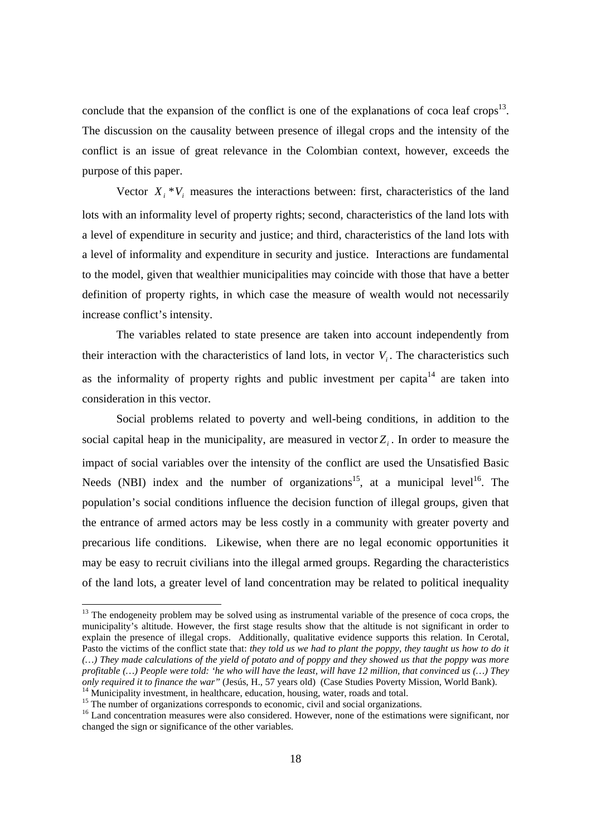conclude that the expansion of the conflict is one of the explanations of coca leaf crops<sup>13</sup>. The discussion on the causality between presence of illegal crops and the intensity of the conflict is an issue of great relevance in the Colombian context, however, exceeds the purpose of this paper.

Vector  $X_i * V_i$  measures the interactions between: first, characteristics of the land lots with an informality level of property rights; second, characteristics of the land lots with a level of expenditure in security and justice; and third, characteristics of the land lots with a level of informality and expenditure in security and justice. Interactions are fundamental to the model, given that wealthier municipalities may coincide with those that have a better definition of property rights, in which case the measure of wealth would not necessarily increase conflict's intensity.

The variables related to state presence are taken into account independently from their interaction with the characteristics of land lots, in vector  $V_i$ . The characteristics such as the informality of property rights and public investment per capita<sup>14</sup> are taken into consideration in this vector.

Social problems related to poverty and well-being conditions, in addition to the social capital heap in the municipality, are measured in vector  $Z_i$ . In order to measure the impact of social variables over the intensity of the conflict are used the Unsatisfied Basic Needs (NBI) index and the number of organizations<sup>15</sup>, at a municipal level<sup>16</sup>. The population's social conditions influence the decision function of illegal groups, given that the entrance of armed actors may be less costly in a community with greater poverty and precarious life conditions. Likewise, when there are no legal economic opportunities it may be easy to recruit civilians into the illegal armed groups. Regarding the characteristics of the land lots, a greater level of land concentration may be related to political inequality

 $13$  The endogeneity problem may be solved using as instrumental variable of the presence of coca crops, the municipality's altitude. However, the first stage results show that the altitude is not significant in order to explain the presence of illegal crops. Additionally, qualitative evidence supports this relation. In Cerotal, Pasto the victims of the conflict state that: *they told us we had to plant the poppy, they taught us how to do it (…) They made calculations of the yield of potato and of poppy and they showed us that the poppy was more profitable (…) People were told: 'he who will have the least, will have 12 million, that convinced us (…) They only required it to finance the war"* (Jesús, H., 57 years old) (Case Studies Poverty Mission, World Bank). <sup>14</sup> Municipality investment, in healthcare, education, housing, water, roads and total.

<sup>&</sup>lt;sup>15</sup> The number of organizations corresponds to economic, civil and social organizations.

<sup>&</sup>lt;sup>16</sup> Land concentration measures were also considered. However, none of the estimations were significant, nor changed the sign or significance of the other variables.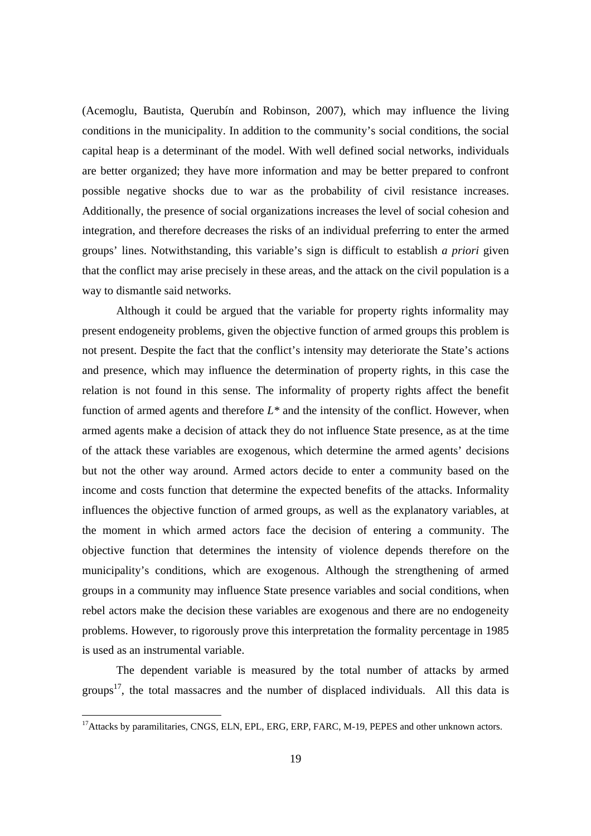(Acemoglu, Bautista, Querubín and Robinson, 2007), which may influence the living conditions in the municipality. In addition to the community's social conditions, the social capital heap is a determinant of the model. With well defined social networks, individuals are better organized; they have more information and may be better prepared to confront possible negative shocks due to war as the probability of civil resistance increases. Additionally, the presence of social organizations increases the level of social cohesion and integration, and therefore decreases the risks of an individual preferring to enter the armed groups' lines. Notwithstanding, this variable's sign is difficult to establish *a priori* given that the conflict may arise precisely in these areas, and the attack on the civil population is a way to dismantle said networks.

Although it could be argued that the variable for property rights informality may present endogeneity problems, given the objective function of armed groups this problem is not present. Despite the fact that the conflict's intensity may deteriorate the State's actions and presence, which may influence the determination of property rights, in this case the relation is not found in this sense. The informality of property rights affect the benefit function of armed agents and therefore  $L^*$  and the intensity of the conflict. However, when armed agents make a decision of attack they do not influence State presence, as at the time of the attack these variables are exogenous, which determine the armed agents' decisions but not the other way around. Armed actors decide to enter a community based on the income and costs function that determine the expected benefits of the attacks. Informality influences the objective function of armed groups, as well as the explanatory variables, at the moment in which armed actors face the decision of entering a community. The objective function that determines the intensity of violence depends therefore on the municipality's conditions, which are exogenous. Although the strengthening of armed groups in a community may influence State presence variables and social conditions, when rebel actors make the decision these variables are exogenous and there are no endogeneity problems. However, to rigorously prove this interpretation the formality percentage in 1985 is used as an instrumental variable.

The dependent variable is measured by the total number of attacks by armed groups<sup>17</sup>, the total massacres and the number of displaced individuals. All this data is

<sup>&</sup>lt;sup>17</sup>Attacks by paramilitaries, CNGS, ELN, EPL, ERG, ERP, FARC, M-19, PEPES and other unknown actors.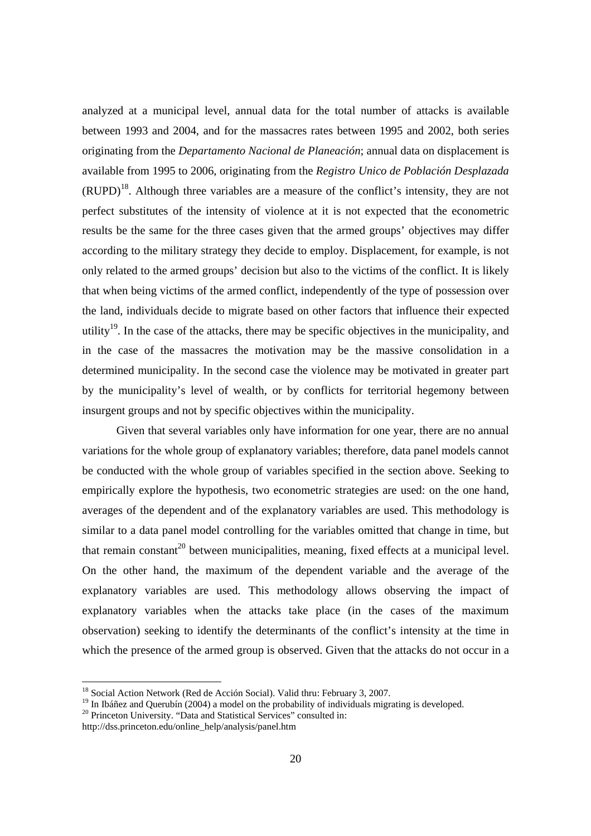analyzed at a municipal level, annual data for the total number of attacks is available between 1993 and 2004, and for the massacres rates between 1995 and 2002, both series originating from the *Departamento Nacional de Planeación*; annual data on displacement is available from 1995 to 2006, originating from the *Registro Unico de Población Desplazada*  $(RUPD)<sup>18</sup>$ . Although three variables are a measure of the conflict's intensity, they are not perfect substitutes of the intensity of violence at it is not expected that the econometric results be the same for the three cases given that the armed groups' objectives may differ according to the military strategy they decide to employ. Displacement, for example, is not only related to the armed groups' decision but also to the victims of the conflict. It is likely that when being victims of the armed conflict, independently of the type of possession over the land, individuals decide to migrate based on other factors that influence their expected utility<sup>19</sup>. In the case of the attacks, there may be specific objectives in the municipality, and in the case of the massacres the motivation may be the massive consolidation in a determined municipality. In the second case the violence may be motivated in greater part by the municipality's level of wealth, or by conflicts for territorial hegemony between insurgent groups and not by specific objectives within the municipality.

Given that several variables only have information for one year, there are no annual variations for the whole group of explanatory variables; therefore, data panel models cannot be conducted with the whole group of variables specified in the section above. Seeking to empirically explore the hypothesis, two econometric strategies are used: on the one hand, averages of the dependent and of the explanatory variables are used. This methodology is similar to a data panel model controlling for the variables omitted that change in time, but that remain constant<sup>20</sup> between municipalities, meaning, fixed effects at a municipal level. On the other hand, the maximum of the dependent variable and the average of the explanatory variables are used. This methodology allows observing the impact of explanatory variables when the attacks take place (in the cases of the maximum observation) seeking to identify the determinants of the conflict's intensity at the time in which the presence of the armed group is observed. Given that the attacks do not occur in a

<sup>&</sup>lt;sup>18</sup> Social Action Network (Red de Acción Social). Valid thru: February 3, 2007.

<sup>&</sup>lt;sup>19</sup> In Ibáñez and Querubín (2004) a model on the probability of individuals migrating is developed.

<sup>&</sup>lt;sup>20</sup> Princeton University. "Data and Statistical Services" consulted in:

http://dss.princeton.edu/online\_help/analysis/panel.htm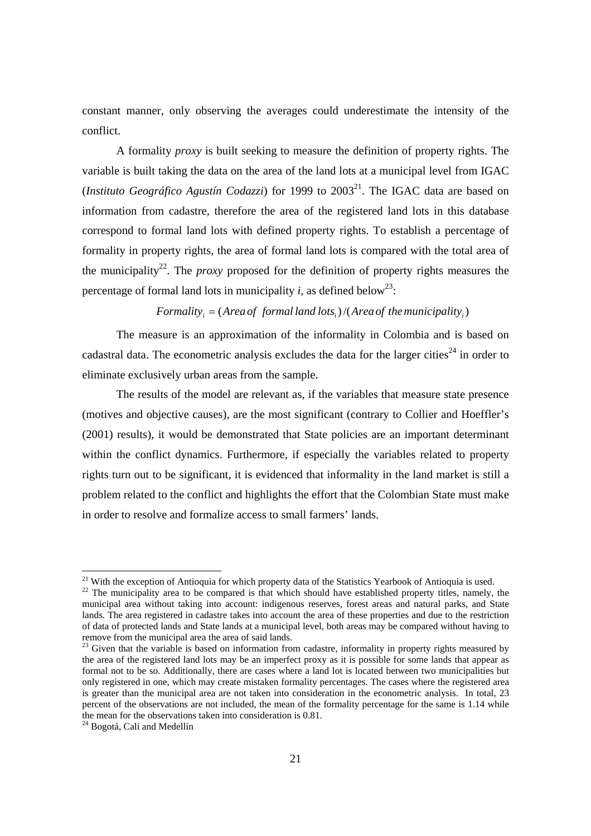constant manner, only observing the averages could underestimate the intensity of the conflict.

A formality *proxy* is built seeking to measure the definition of property rights. The variable is built taking the data on the area of the land lots at a municipal level from IGAC (*Instituto Geográfico Agustín Codazzi*) for 1999 to  $2003<sup>21</sup>$ . The IGAC data are based on information from cadastre, therefore the area of the registered land lots in this database correspond to formal land lots with defined property rights. To establish a percentage of formality in property rights, the area of formal land lots is compared with the total area of the municipality<sup>22</sup>. The *proxy* proposed for the definition of property rights measures the percentage of formal land lots in municipality *i*, as defined below<sup>23</sup>:

## $Formality = (Area of formal land lots.)/(Area of the municipality.)$

The measure is an approximation of the informality in Colombia and is based on cadastral data. The econometric analysis excludes the data for the larger cities<sup>24</sup> in order to eliminate exclusively urban areas from the sample.

The results of the model are relevant as, if the variables that measure state presence (motives and objective causes), are the most significant (contrary to Collier and Hoeffler's (2001) results), it would be demonstrated that State policies are an important determinant within the conflict dynamics. Furthermore, if especially the variables related to property rights turn out to be significant, it is evidenced that informality in the land market is still a problem related to the conflict and highlights the effort that the Colombian State must make in order to resolve and formalize access to small farmers' lands.

<sup>&</sup>lt;sup>21</sup> With the exception of Antioquia for which property data of the Statistics Yearbook of Antioquia is used.

<sup>&</sup>lt;sup>22</sup> The municipality area to be compared is that which should have established property titles, namely, the municipal area without taking into account: indigenous reserves, forest areas and natural parks, and State lands. The area registered in cadastre takes into account the area of these properties and due to the restriction of data of protected lands and State lands at a municipal level, both areas may be compared without having to remove from the municipal area the area of said lands.

<sup>&</sup>lt;sup>23</sup> Given that the variable is based on information from cadastre, informality in property rights measured by the area of the registered land lots may be an imperfect proxy as it is possible for some lands that appear as formal not to be so. Additionally, there are cases where a land lot is located between two municipalities but only registered in one, which may create mistaken formality percentages. The cases where the registered area is greater than the municipal area are not taken into consideration in the econometric analysis. In total, 23 percent of the observations are not included, the mean of the formality percentage for the same is 1.14 while the mean for the observations taken into consideration is 0.81.

<sup>&</sup>lt;sup>24</sup> Bogotá, Cali and Medellín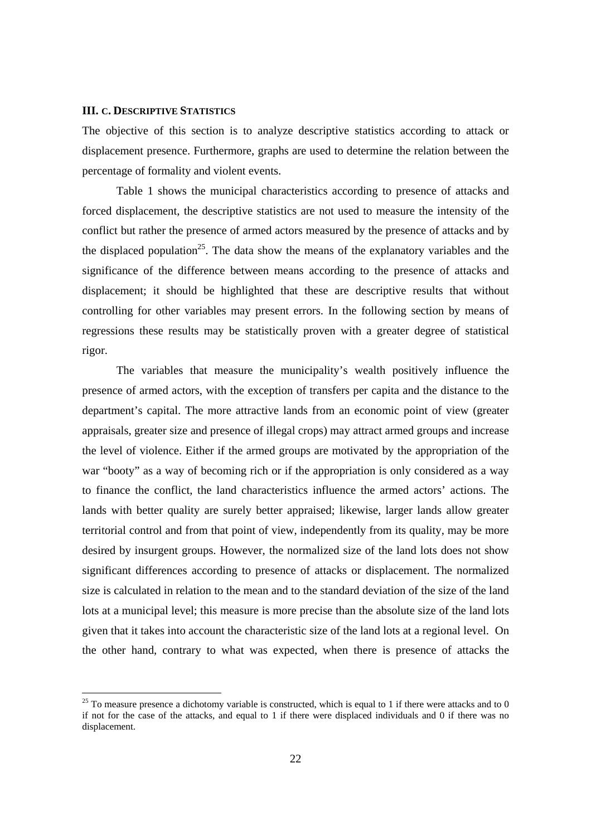#### **III. C. DESCRIPTIVE STATISTICS**

The objective of this section is to analyze descriptive statistics according to attack or displacement presence. Furthermore, graphs are used to determine the relation between the percentage of formality and violent events.

Table 1 shows the municipal characteristics according to presence of attacks and forced displacement, the descriptive statistics are not used to measure the intensity of the conflict but rather the presence of armed actors measured by the presence of attacks and by the displaced population<sup>25</sup>. The data show the means of the explanatory variables and the significance of the difference between means according to the presence of attacks and displacement; it should be highlighted that these are descriptive results that without controlling for other variables may present errors. In the following section by means of regressions these results may be statistically proven with a greater degree of statistical rigor.

The variables that measure the municipality's wealth positively influence the presence of armed actors, with the exception of transfers per capita and the distance to the department's capital. The more attractive lands from an economic point of view (greater appraisals, greater size and presence of illegal crops) may attract armed groups and increase the level of violence. Either if the armed groups are motivated by the appropriation of the war "booty" as a way of becoming rich or if the appropriation is only considered as a way to finance the conflict, the land characteristics influence the armed actors' actions. The lands with better quality are surely better appraised; likewise, larger lands allow greater territorial control and from that point of view, independently from its quality, may be more desired by insurgent groups. However, the normalized size of the land lots does not show significant differences according to presence of attacks or displacement. The normalized size is calculated in relation to the mean and to the standard deviation of the size of the land lots at a municipal level; this measure is more precise than the absolute size of the land lots given that it takes into account the characteristic size of the land lots at a regional level. On the other hand, contrary to what was expected, when there is presence of attacks the

 $25$  To measure presence a dichotomy variable is constructed, which is equal to 1 if there were attacks and to 0 if not for the case of the attacks, and equal to 1 if there were displaced individuals and 0 if there was no displacement.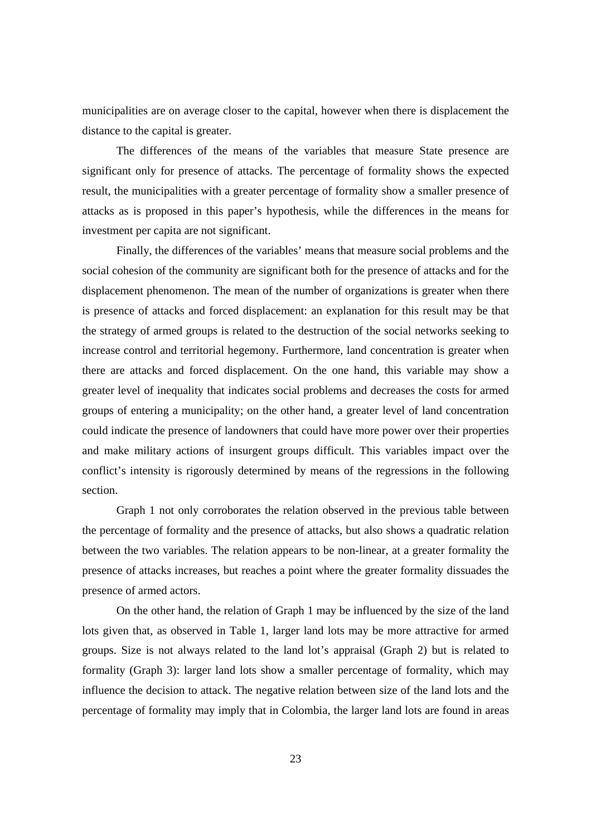municipalities are on average closer to the capital, however when there is displacement the distance to the capital is greater.

 The differences of the means of the variables that measure State presence are significant only for presence of attacks. The percentage of formality shows the expected result, the municipalities with a greater percentage of formality show a smaller presence of attacks as is proposed in this paper's hypothesis, while the differences in the means for investment per capita are not significant.

 Finally, the differences of the variables' means that measure social problems and the social cohesion of the community are significant both for the presence of attacks and for the displacement phenomenon. The mean of the number of organizations is greater when there is presence of attacks and forced displacement: an explanation for this result may be that the strategy of armed groups is related to the destruction of the social networks seeking to increase control and territorial hegemony. Furthermore, land concentration is greater when there are attacks and forced displacement. On the one hand, this variable may show a greater level of inequality that indicates social problems and decreases the costs for armed groups of entering a municipality; on the other hand, a greater level of land concentration could indicate the presence of landowners that could have more power over their properties and make military actions of insurgent groups difficult. This variables impact over the conflict's intensity is rigorously determined by means of the regressions in the following section.

Graph 1 not only corroborates the relation observed in the previous table between the percentage of formality and the presence of attacks, but also shows a quadratic relation between the two variables. The relation appears to be non-linear, at a greater formality the presence of attacks increases, but reaches a point where the greater formality dissuades the presence of armed actors.

On the other hand, the relation of Graph 1 may be influenced by the size of the land lots given that, as observed in Table 1, larger land lots may be more attractive for armed groups. Size is not always related to the land lot's appraisal (Graph 2) but is related to formality (Graph 3): larger land lots show a smaller percentage of formality, which may influence the decision to attack. The negative relation between size of the land lots and the percentage of formality may imply that in Colombia, the larger land lots are found in areas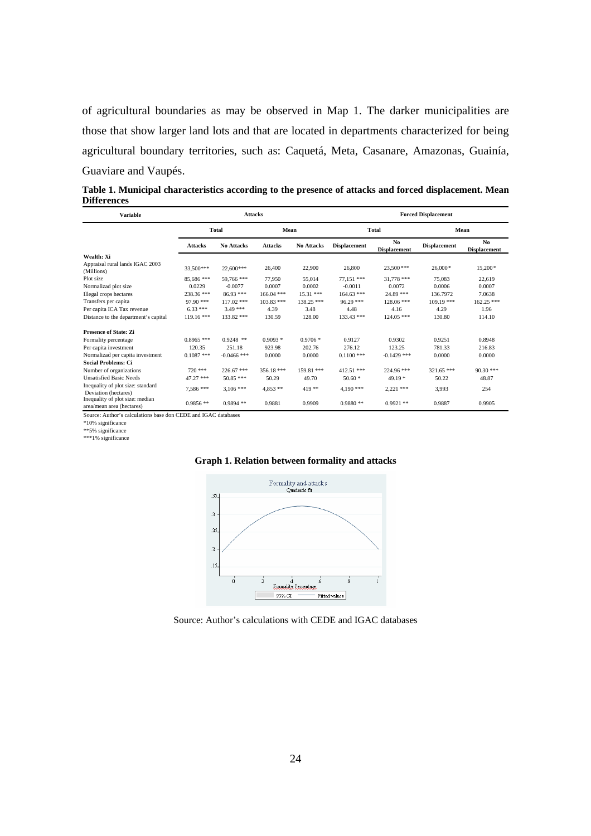of agricultural boundaries as may be observed in Map 1. The darker municipalities are those that show larger land lots and that are located in departments characterized for being agricultural boundary territories, such as: Caquetá, Meta, Casanare, Amazonas, Guainía, Guaviare and Vaupés.

**Table 1. Municipal characteristics according to the presence of attacks and forced displacement. Mean Differences** 

| <b>Variable</b>                                                |                |                   | <b>Attacks</b> |                   | <b>Forced Displacement</b> |                                       |                     |                            |  |  |  |
|----------------------------------------------------------------|----------------|-------------------|----------------|-------------------|----------------------------|---------------------------------------|---------------------|----------------------------|--|--|--|
|                                                                |                | <b>Total</b>      | Mean           |                   |                            | Total                                 |                     | Mean                       |  |  |  |
|                                                                | <b>Attacks</b> | <b>No Attacks</b> | <b>Attacks</b> | <b>No Attacks</b> | <b>Displacement</b>        | N <sub>0</sub><br><b>Displacement</b> | <b>Displacement</b> | No.<br><b>Displacement</b> |  |  |  |
| Wealth: Xi                                                     |                |                   |                |                   |                            |                                       |                     |                            |  |  |  |
| Appraisal rural lands IGAC 2003<br>(Millions)                  | 33.500***      | 22,600***         | 26,400         | 22,900            | 26,800                     | 23.500***                             | $26,000*$           | 15,200*                    |  |  |  |
| Plot size                                                      | 85,686 ***     | 59,766 ***        | 77.950         | 55,014            | 77.151 ***                 | $31.778$ ***                          | 75,083              | 22,619                     |  |  |  |
| Normalizad plot size                                           | 0.0229         | $-0.0077$         | 0.0007         | 0.0002            | $-0.0011$                  | 0.0072                                | 0.0006              | 0.0007                     |  |  |  |
| Illegal crops hectares                                         | 238.36 ***     | 86.93 ***         | $166.04$ ***   | $15.31$ ***       | $164.63$ ***               | 24.89 ***                             | 136.7972            | 7.0638                     |  |  |  |
| Transfers per capita                                           | 97.90 ***      | $117.02$ ***      | $103.83$ ***   | 138.25 ***        | $96.29***$                 | $128.06$ ***                          | $109.19$ ***        | $162.25$ ***               |  |  |  |
| Per capita ICA Tax revenue                                     | $6.33***$      | $3.49***$         | 4.39           | 3.48              | 4.48                       | 4.16                                  | 4.29                | 1.96                       |  |  |  |
| Distance to the department's capital                           | 119.16 ***     | 133.82 ***        | 130.59         | 128.00            | 133.43 ***                 | $124.05$ ***                          | 130.80              | 114.10                     |  |  |  |
| <b>Presence of State: Zi</b>                                   |                |                   |                |                   |                            |                                       |                     |                            |  |  |  |
| Formality percentage                                           | $0.8965$ ***   | $0.9248$ **       | $0.9093*$      | $0.9706*$         | 0.9127                     | 0.9302                                | 0.9251              | 0.8948                     |  |  |  |
| Per capita investment                                          | 120.35         | 251.18            | 923.98         | 202.76            | 276.12                     | 123.25                                | 781.33              | 216.83                     |  |  |  |
| Normalizad per capita investment                               | $0.1087$ ***   | $-0.0466$ ***     | 0.0000         | 0.0000            | $0.1100$ ***               | $-0.1429$ ***                         | 0.0000              | 0.0000                     |  |  |  |
| <b>Social Problems: Ci</b>                                     |                |                   |                |                   |                            |                                       |                     |                            |  |  |  |
| Number of organizations                                        | $720$ ***      | $226.67$ ***      | $356.18***$    | 159.81 ***        | $412.51$ ***               | 224.96 ***                            | $321.65$ ***        | $90.30$ ***                |  |  |  |
| <b>Unsatisfied Basic Needs</b>                                 | 47.27 ***      | 50.85 ***         | 50.29          | 49.70             | $50.60*$                   | $49.19*$                              | 50.22               | 48.87                      |  |  |  |
| Inequality of plot size: standard<br>Deviation (hectares)      | 7,586 ***      | $3.106$ ***       | $4.853**$      | 419**             | $4.190***$                 | $2.221$ ***                           | 3,993               | 254                        |  |  |  |
| Inequality of plot size: median<br>area/mean area (hectares)   | $0.9856**$     | $0.9894**$        | 0.9881         | 0.9909            | $0.9880**$                 | $0.9921**$                            | 0.9887              | 0.9905                     |  |  |  |
| Source: Author's calculations base don CEDE and IGAC databases |                |                   |                |                   |                            |                                       |                     |                            |  |  |  |

\*10% significance \*\*5% significance \*\*\*1% significance





Source: Author's calculations with CEDE and IGAC databases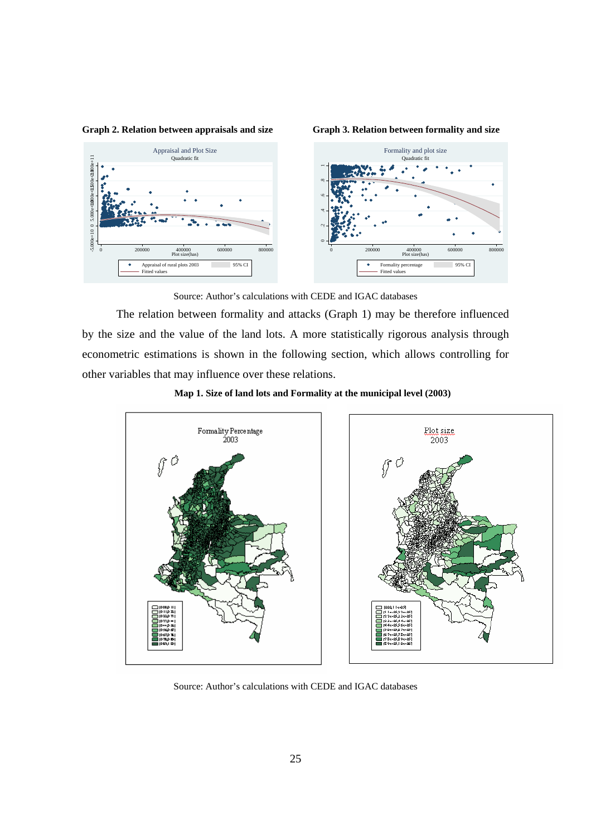

**Graph 3. Relation between formality and size** 



Source: Author's calculations with CEDE and IGAC databases

The relation between formality and attacks (Graph 1) may be therefore influenced by the size and the value of the land lots. A more statistically rigorous analysis through econometric estimations is shown in the following section, which allows controlling for other variables that may influence over these relations.







Source: Author's calculations with CEDE and IGAC databases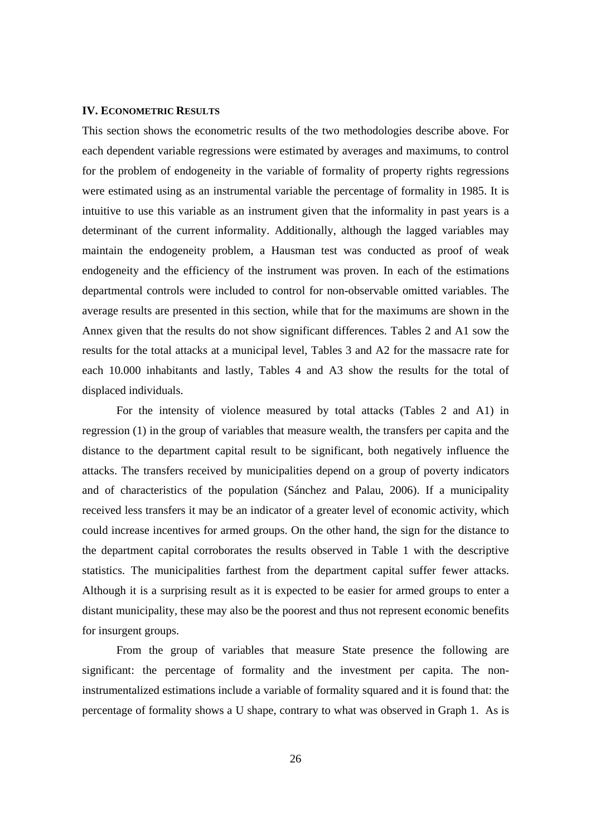#### **IV. ECONOMETRIC RESULTS**

This section shows the econometric results of the two methodologies describe above. For each dependent variable regressions were estimated by averages and maximums, to control for the problem of endogeneity in the variable of formality of property rights regressions were estimated using as an instrumental variable the percentage of formality in 1985. It is intuitive to use this variable as an instrument given that the informality in past years is a determinant of the current informality. Additionally, although the lagged variables may maintain the endogeneity problem, a Hausman test was conducted as proof of weak endogeneity and the efficiency of the instrument was proven. In each of the estimations departmental controls were included to control for non-observable omitted variables. The average results are presented in this section, while that for the maximums are shown in the Annex given that the results do not show significant differences. Tables 2 and A1 sow the results for the total attacks at a municipal level, Tables 3 and A2 for the massacre rate for each 10.000 inhabitants and lastly, Tables 4 and A3 show the results for the total of displaced individuals.

For the intensity of violence measured by total attacks (Tables 2 and A1) in regression (1) in the group of variables that measure wealth, the transfers per capita and the distance to the department capital result to be significant, both negatively influence the attacks. The transfers received by municipalities depend on a group of poverty indicators and of characteristics of the population (Sánchez and Palau, 2006). If a municipality received less transfers it may be an indicator of a greater level of economic activity, which could increase incentives for armed groups. On the other hand, the sign for the distance to the department capital corroborates the results observed in Table 1 with the descriptive statistics. The municipalities farthest from the department capital suffer fewer attacks. Although it is a surprising result as it is expected to be easier for armed groups to enter a distant municipality, these may also be the poorest and thus not represent economic benefits for insurgent groups.

From the group of variables that measure State presence the following are significant: the percentage of formality and the investment per capita. The noninstrumentalized estimations include a variable of formality squared and it is found that: the percentage of formality shows a U shape, contrary to what was observed in Graph 1. As is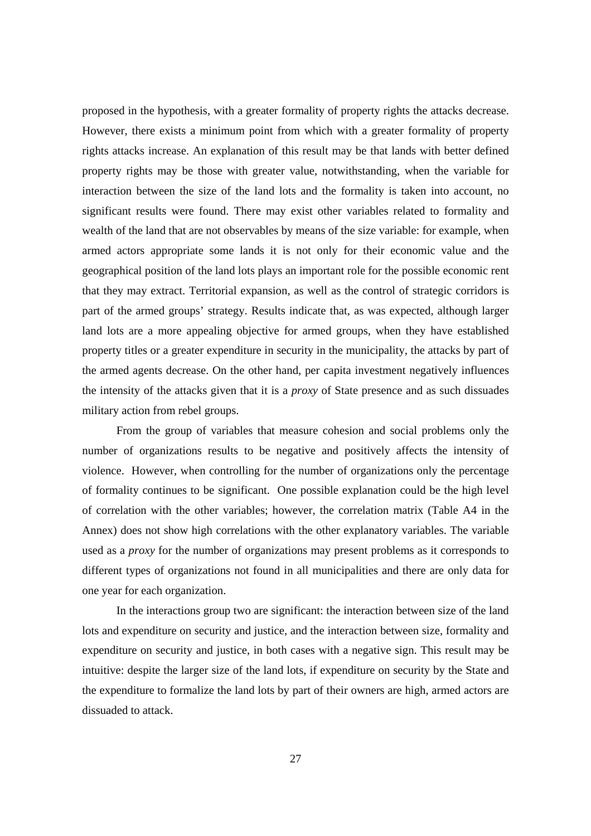proposed in the hypothesis, with a greater formality of property rights the attacks decrease. However, there exists a minimum point from which with a greater formality of property rights attacks increase. An explanation of this result may be that lands with better defined property rights may be those with greater value, notwithstanding, when the variable for interaction between the size of the land lots and the formality is taken into account, no significant results were found. There may exist other variables related to formality and wealth of the land that are not observables by means of the size variable: for example, when armed actors appropriate some lands it is not only for their economic value and the geographical position of the land lots plays an important role for the possible economic rent that they may extract. Territorial expansion, as well as the control of strategic corridors is part of the armed groups' strategy. Results indicate that, as was expected, although larger land lots are a more appealing objective for armed groups, when they have established property titles or a greater expenditure in security in the municipality, the attacks by part of the armed agents decrease. On the other hand, per capita investment negatively influences the intensity of the attacks given that it is a *proxy* of State presence and as such dissuades military action from rebel groups.

From the group of variables that measure cohesion and social problems only the number of organizations results to be negative and positively affects the intensity of violence. However, when controlling for the number of organizations only the percentage of formality continues to be significant. One possible explanation could be the high level of correlation with the other variables; however, the correlation matrix (Table A4 in the Annex) does not show high correlations with the other explanatory variables. The variable used as a *proxy* for the number of organizations may present problems as it corresponds to different types of organizations not found in all municipalities and there are only data for one year for each organization.

In the interactions group two are significant: the interaction between size of the land lots and expenditure on security and justice, and the interaction between size, formality and expenditure on security and justice, in both cases with a negative sign. This result may be intuitive: despite the larger size of the land lots, if expenditure on security by the State and the expenditure to formalize the land lots by part of their owners are high, armed actors are dissuaded to attack.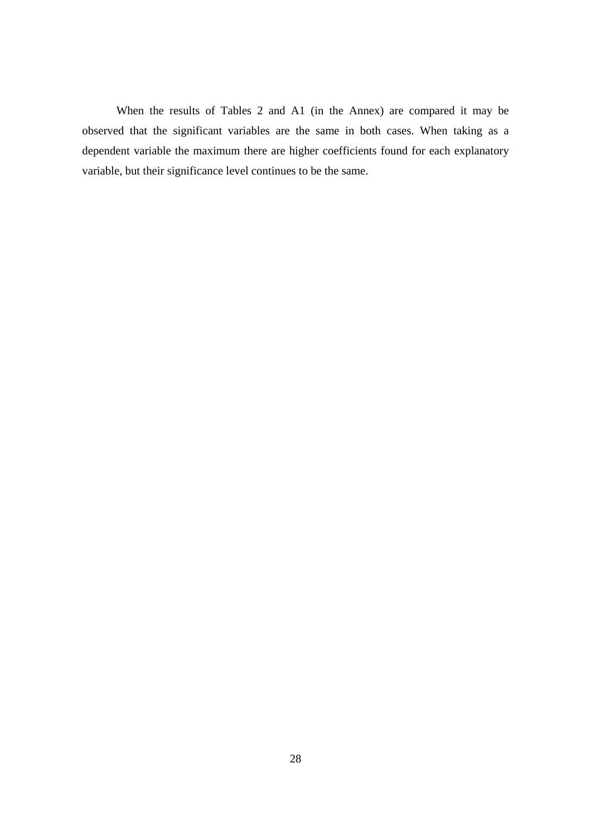When the results of Tables 2 and A1 (in the Annex) are compared it may be observed that the significant variables are the same in both cases. When taking as a dependent variable the maximum there are higher coefficients found for each explanatory variable, but their significance level continues to be the same.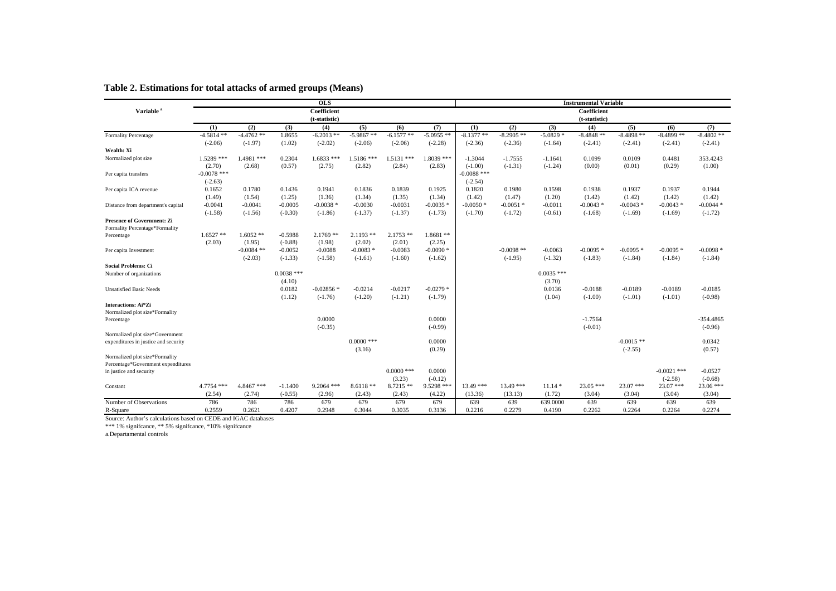|                                      |               |              |              | $\overline{OLS}$ |              |              |              |               |              |              | <b>Instrumental Variable</b> |              |               |             |
|--------------------------------------|---------------|--------------|--------------|------------------|--------------|--------------|--------------|---------------|--------------|--------------|------------------------------|--------------|---------------|-------------|
| Variable <sup>5</sup>                |               |              |              | Coefficient      |              |              |              |               |              |              | Coefficient                  |              |               |             |
|                                      |               |              |              | (t-statistic)    |              |              |              |               |              |              | (t-statistic)                |              |               |             |
|                                      | (1)           | (2)          | (3)          | (4)              | (5)          | (6)          | (7)          | (1)           | (2)          | (3)          | (4)                          | (5)          | (6)           | (7)         |
| Formality Percentage                 | $-4.5814**$   | $-4.4762**$  | 1.8655       | $-6.2013$ **     | $-5.9867$ ** | $-6.1577**$  | $-5.0955**$  | $-8.1377**$   | $-8.2905$ ** | $-5.0829*$   | $-8.4848**$                  | $-8.4898**$  | $-8.4899**$   | $-8.4802**$ |
|                                      | $(-2.06)$     | $(-1.97)$    | (1.02)       | $(-2.02)$        | $(-2.06)$    | $(-2.06)$    | $(-2.28)$    | $(-2.36)$     | $(-2.36)$    | $(-1.64)$    | $(-2.41)$                    | $(-2.41)$    | $(-2.41)$     | $(-2.41)$   |
| Wealth: Xi                           |               |              |              |                  |              |              |              |               |              |              |                              |              |               |             |
| Normalized plot size                 | $1.5289$ ***  | $1.4981$ *** | 0.2304       | $1.6833$ ***     | $1.5186***$  | $1.5131$ *** | $1.8039$ *** | $-1.3044$     | $-1.7555$    | $-1.1641$    | 0.1099                       | 0.0109       | 0.4481        | 353.4243    |
|                                      | (2.70)        | (2.68)       | (0.57)       | (2.75)           | (2.82)       | (2.84)       | (2.83)       | $(-1.00)$     | $(-1.31)$    | $(-1.24)$    | (0.00)                       | (0.01)       | (0.29)        | (1.00)      |
| Per capita transfers                 | $-0.0078$ *** |              |              |                  |              |              |              | $-0.0088$ *** |              |              |                              |              |               |             |
|                                      | $(-2.63)$     |              |              |                  |              |              |              | $(-2.54)$     |              |              |                              |              |               |             |
| Per capita ICA revenue               | 0.1652        | 0.1780       | 0.1436       | 0.1941           | 0.1836       | 0.1839       | 0.1925       | 0.1820        | 0.1980       | 0.1598       | 0.1938                       | 0.1937       | 0.1937        | 0.1944      |
|                                      | (1.49)        | (1.54)       | (1.25)       | (1.36)           | (1.34)       | (1.35)       | (1.34)       | (1.42)        | (1.47)       | (1.20)       | (1.42)                       | (1.42)       | (1.42)        | (1.42)      |
| Distance from department's capital   | $-0.0041$     | $-0.0041$    | $-0.0005$    | $-0.0038*$       | $-0.0030$    | $-0.0031$    | $-0.0035*$   | $-0.0050*$    | $-0.0051$ *  | $-0.0011$    | $-0.0043*$                   | $-0.0043*$   | $-0.0043*$    | $-0.0044*$  |
|                                      | $(-1.58)$     | $(-1.56)$    | $(-0.30)$    | $(-1.86)$        | $(-1.37)$    | $(-1.37)$    | $(-1.73)$    | $(-1.70)$     | $(-1.72)$    | $(-0.61)$    | $(-1.68)$                    | $(-1.69)$    | $(-1.69)$     | $(-1.72)$   |
| <b>Presence of Government: Zi</b>    |               |              |              |                  |              |              |              |               |              |              |                              |              |               |             |
| Formality Percentage*Formality       |               |              |              |                  |              |              |              |               |              |              |                              |              |               |             |
| Percentage                           | $1.6527**$    | $1.6052**$   | $-0.5988$    | $2.1769$ **      | $2.1193$ **  | $2.1753$ **  | $1.8681**$   |               |              |              |                              |              |               |             |
|                                      | (2.03)        | (1.95)       | $(-0.88)$    | (1.98)           | (2.02)       | (2.01)       | (2.25)       |               | $-0.0098$ ** |              |                              |              |               | $-0.0098*$  |
| Per capita Investment                |               | $-0.0084$ ** | $-0.0052$    | $-0.0088$        | $-0.0083*$   | $-0.0083$    | $-0.0090*$   |               |              | $-0.0063$    | $-0.0095*$                   | $-0.0095*$   | $-0.0095*$    |             |
| <b>Social Problems: Ci</b>           |               | $(-2.03)$    | $(-1.33)$    | $(-1.58)$        | $(-1.61)$    | $(-1.60)$    | $(-1.62)$    |               | $(-1.95)$    | $(-1.32)$    | $(-1.83)$                    | $(-1.84)$    | $(-1.84)$     | $(-1.84)$   |
|                                      |               |              | $0.0038$ *** |                  |              |              |              |               |              | $0.0035$ *** |                              |              |               |             |
| Number of organizations              |               |              | (4.10)       |                  |              |              |              |               |              | (3.70)       |                              |              |               |             |
|                                      |               |              | 0.0182       | $-0.02856*$      | $-0.0214$    | $-0.0217$    | $-0.0279$ *  |               |              | 0.0136       | $-0.0188$                    | $-0.0189$    | $-0.0189$     | $-0.0185$   |
| <b>Unsatisfied Basic Needs</b>       |               |              | (1.12)       | $(-1.76)$        | $(-1.20)$    | $(-1.21)$    | $(-1.79)$    |               |              | (1.04)       | $(-1.00)$                    | $(-1.01)$    | $(-1.01)$     | $(-0.98)$   |
| <b>Interactions: Ai*Zi</b>           |               |              |              |                  |              |              |              |               |              |              |                              |              |               |             |
| Normalized plot size*Formality       |               |              |              |                  |              |              |              |               |              |              |                              |              |               |             |
| Percentage                           |               |              |              | 0.0000           |              |              | 0.0000       |               |              |              | $-1.7564$                    |              |               | $-354.4865$ |
|                                      |               |              |              | $(-0.35)$        |              |              | $(-0.99)$    |               |              |              | $(-0.01)$                    |              |               | $(-0.96)$   |
| Normalized plot size*Government      |               |              |              |                  |              |              |              |               |              |              |                              |              |               |             |
| expenditures in justice and security |               |              |              |                  | $0.0000$ *** |              | 0.0000       |               |              |              |                              | $-0.0015$ ** |               | 0.0342      |
|                                      |               |              |              |                  | (3.16)       |              | (0.29)       |               |              |              |                              | $(-2.55)$    |               | (0.57)      |
| Normalized plot size*Formality       |               |              |              |                  |              |              |              |               |              |              |                              |              |               |             |
| Percentage*Government expenditures   |               |              |              |                  |              |              |              |               |              |              |                              |              |               |             |
| in justice and security              |               |              |              |                  |              | $0.0000$ *** | 0.0000       |               |              |              |                              |              | $-0.0021$ *** | $-0.0527$   |
|                                      |               |              |              |                  |              | (3.23)       | $(-0.12)$    |               |              |              |                              |              | $(-2.58)$     | $(-0.68)$   |
| Constant                             | 4.7754 ***    | 4.8467 ***   | $-1.1400$    | $9.2064$ ***     | $8.6118**$   | $8.7215**$   | $9.5298$ *** | $13.49***$    | $13.49***$   | $11.14*$     | $23.05$ ***                  | $23.07$ ***  | $23.07$ ***   | $23.06$ *** |
|                                      | (2.54)        | (2.74)       | $(-0.55)$    | (2.96)           | (2.43)       | (2.43)       | (4.22)       | (13.36)       | (13.13)      | (1.72)       | (3.04)                       | (3.04)       | (3.04)        | (3.04)      |
| Number of Observations               | 786           | 786          | 786          | 679              | 679          | 679          | 679          | 639           | 639          | 639.0000     | 639                          | 639          | 639           | 639         |
| R-Square                             | 0.2559        | 0.2621       | 0.4207       | 0.2948           | 0.3044       | 0.3035       | 0.3136       | 0.2216        | 0.2279       | 0.4190       | 0.2262                       | 0.2264       | 0.2264        | 0.2274      |

#### **Table 2. Estimations for total attacks of armed groups (Means)**

Source: Author's calculations based on CEDE and IGAC databases

\*\*\* 1% signifcance, \*\* 5% signifcance, \*10% signifcance a.Departamental controls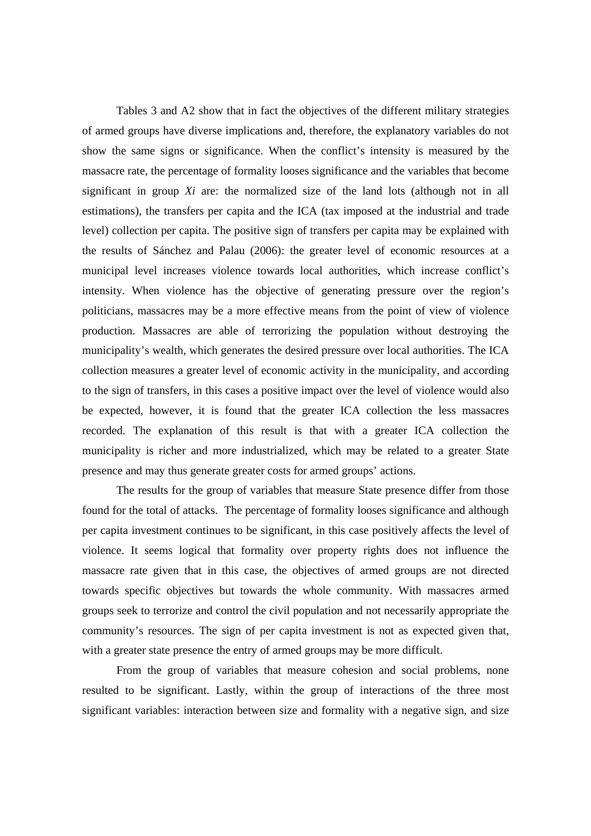Tables 3 and A2 show that in fact the objectives of the different military strategies of armed groups have diverse implications and, therefore, the explanatory variables do not show the same signs or significance. When the conflict's intensity is measured by the massacre rate, the percentage of formality looses significance and the variables that become significant in group *Xi* are: the normalized size of the land lots (although not in all estimations), the transfers per capita and the ICA (tax imposed at the industrial and trade level) collection per capita. The positive sign of transfers per capita may be explained with the results of Sánchez and Palau (2006): the greater level of economic resources at a municipal level increases violence towards local authorities, which increase conflict's intensity. When violence has the objective of generating pressure over the region's politicians, massacres may be a more effective means from the point of view of violence production. Massacres are able of terrorizing the population without destroying the municipality's wealth, which generates the desired pressure over local authorities. The ICA collection measures a greater level of economic activity in the municipality, and according to the sign of transfers, in this cases a positive impact over the level of violence would also be expected, however, it is found that the greater ICA collection the less massacres recorded. The explanation of this result is that with a greater ICA collection the municipality is richer and more industrialized, which may be related to a greater State presence and may thus generate greater costs for armed groups' actions.

The results for the group of variables that measure State presence differ from those found for the total of attacks. The percentage of formality looses significance and although per capita investment continues to be significant, in this case positively affects the level of violence. It seems logical that formality over property rights does not influence the massacre rate given that in this case, the objectives of armed groups are not directed towards specific objectives but towards the whole community. With massacres armed groups seek to terrorize and control the civil population and not necessarily appropriate the community's resources. The sign of per capita investment is not as expected given that, with a greater state presence the entry of armed groups may be more difficult.

From the group of variables that measure cohesion and social problems, none resulted to be significant. Lastly, within the group of interactions of the three most significant variables: interaction between size and formality with a negative sign, and size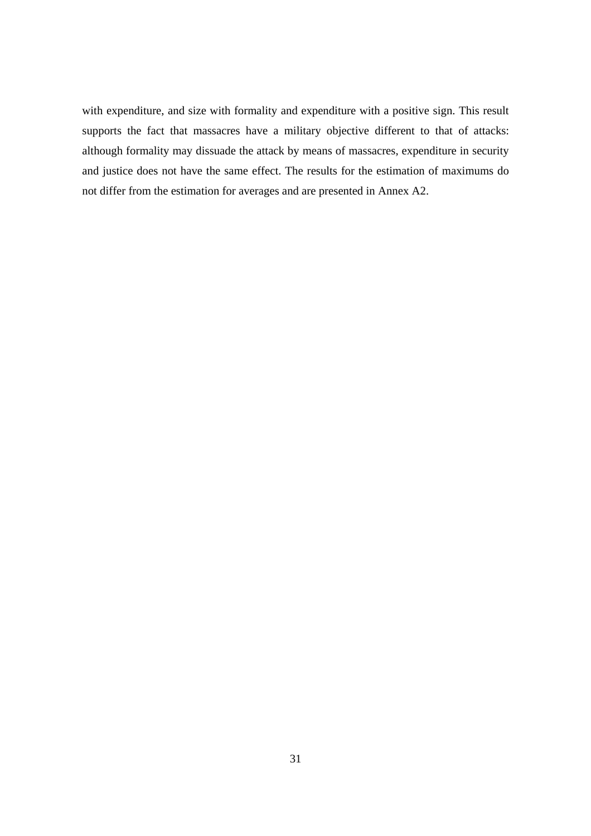with expenditure, and size with formality and expenditure with a positive sign. This result supports the fact that massacres have a military objective different to that of attacks: although formality may dissuade the attack by means of massacres, expenditure in security and justice does not have the same effect. The results for the estimation of maximums do not differ from the estimation for averages and are presented in Annex A2.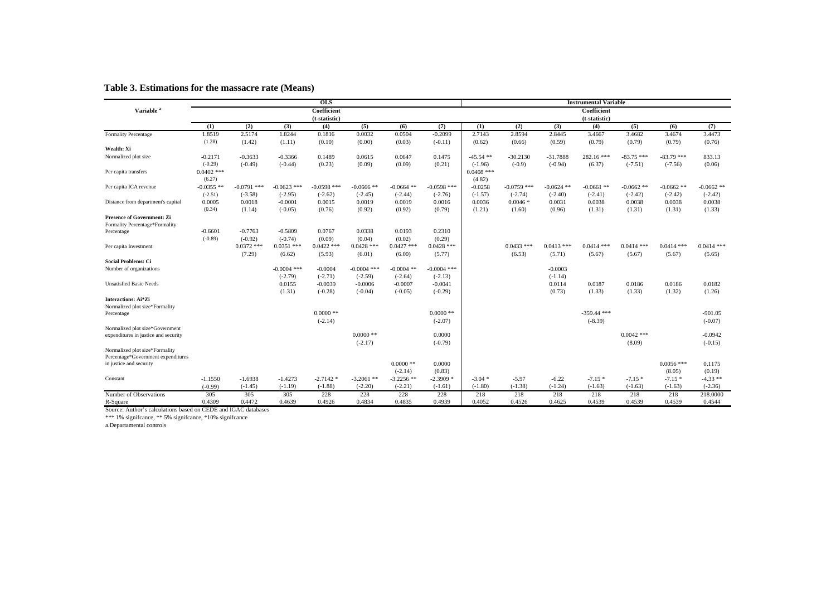|                                      |                        |               |               | <b>OLS</b>    |               |              |               |                        |               |              | <b>Instrumental Variable</b> |              |              |              |
|--------------------------------------|------------------------|---------------|---------------|---------------|---------------|--------------|---------------|------------------------|---------------|--------------|------------------------------|--------------|--------------|--------------|
| Variable <sup>a</sup>                |                        |               |               | Coefficient   |               |              |               |                        |               |              | Coefficient                  |              |              |              |
|                                      |                        |               |               | (t-statistic) |               |              |               |                        |               |              | (t-statistic)                |              |              |              |
|                                      | (1)                    | (2)           | (3)           | (4)           | (5)           | (6)          | (7)           | (1)                    | (2)           | (3)          | (4)                          | (5)          | (6)          | (7)          |
| Formality Percentage                 | 1.8519                 | 2.5174        | 1.8244        | 0.1816        | 0.0032        | 0.0504       | $-0.2099$     | 2.7143                 | 2.8594        | 2.8445       | 3.4667                       | 3.4682       | 3.4674       | 3.4473       |
|                                      | (1.28)                 | (1.42)        | (1.11)        | (0.10)        | (0.00)        | (0.03)       | $(-0.11)$     | (0.62)                 | (0.66)        | (0.59)       | (0.79)                       | (0.79)       | (0.79)       | (0.76)       |
| Wealth: Xi                           |                        |               |               |               |               |              |               |                        |               |              |                              |              |              |              |
| Normalized plot size                 | $-0.2171$              | $-0.3633$     | $-0.3366$     | 0.1489        | 0.0615        | 0.0647       | 0.1475        | $-45.54$ **            | $-30.2130$    | $-31.7888$   | 282.16***                    | $-83.75$ *** | $-83.79$ *** | 833.13       |
|                                      | $(-0.29)$              | $(-0.49)$     | $(-0.44)$     | (0.23)        | (0.09)        | (0.09)       | (0.21)        | $(-1.96)$              | $(-0.9)$      | $(-0.94)$    | (6.37)                       | $(-7.51)$    | $(-7.56)$    | (0.06)       |
| Per capita transfers                 | $0.0402$ ***           |               |               |               |               |              |               | $0.0408$ ***           |               |              |                              |              |              |              |
|                                      | (6.27)<br>$-0.0355$ ** | $-0.0791$ *** | $-0.0623$ *** | $-0.0598$ *** | $-0.0666$ **  | $-0.0664$ ** | $-0.0598$ *** | (4.82)                 | $-0.0759$ *** | $-0.0624$ ** |                              | $-0.0662$ ** | $-0.0662$ ** | $-0.0662$ ** |
| Per capita ICA revenue               | $(-2.51)$              | $(-3.58)$     | $(-2.95)$     | $(-2.62)$     | $(-2.45)$     | $(-2.44)$    | $(-2.76)$     | $-0.0258$<br>$(-1.57)$ | $(-2.74)$     | $(-2.40)$    | $-0.0661$ **<br>$(-2.41)$    | $(-2.42)$    | $(-2.42)$    | $(-2.42)$    |
| Distance from department's capital   | 0.0005                 | 0.0018        | $-0.0001$     | 0.0015        | 0.0019        | 0.0019       | 0.0016        | 0.0036                 | $0.0046*$     | 0.0031       | 0.0038                       | 0.0038       | 0.0038       | 0.0038       |
|                                      | (0.34)                 | (1.14)        | $(-0.05)$     | (0.76)        | (0.92)        | (0.92)       | (0.79)        | (1.21)                 | (1.60)        | (0.96)       | (1.31)                       | (1.31)       | (1.31)       | (1.33)       |
| Presence of Government: Zi           |                        |               |               |               |               |              |               |                        |               |              |                              |              |              |              |
| Formality Percentage*Formality       |                        |               |               |               |               |              |               |                        |               |              |                              |              |              |              |
| Percentage                           | $-0.6601$              | $-0.7763$     | $-0.5809$     | 0.0767        | 0.0338        | 0.0193       | 0.2310        |                        |               |              |                              |              |              |              |
|                                      | $(-0.89)$              | $(-0.92)$     | $(-0.74)$     | (0.09)        | (0.04)        | (0.02)       | (0.29)        |                        |               |              |                              |              |              |              |
| Per capita Investment                |                        | $0.0372$ ***  | $0.0351$ ***  | $0.0422$ ***  | $0.0428$ ***  | $0.0427$ *** | $0.0428$ ***  |                        | $0.0433$ ***  | $0.0413$ *** | $0.0414$ ***                 | $0.0414$ *** | $0.0414$ *** | $0.0414$ *** |
|                                      |                        | (7.29)        | (6.62)        | (5.93)        | (6.01)        | (6.00)       | (5.77)        |                        | (6.53)        | (5.71)       | (5.67)                       | (5.67)       | (5.67)       | (5.65)       |
| <b>Social Problems: Ci</b>           |                        |               |               |               |               |              |               |                        |               |              |                              |              |              |              |
| Number of organizations              |                        |               | $-0.0004$ *** | $-0.0004$     | $-0.0004$ *** | $-0.0004$ ** | $-0.0004$ *** |                        |               | $-0.0003$    |                              |              |              |              |
|                                      |                        |               | $(-2.79)$     | $(-2.71)$     | $(-2.59)$     | $(-2.64)$    | $(-2.13)$     |                        |               | $(-1.14)$    |                              |              |              |              |
| <b>Unsatisfied Basic Needs</b>       |                        |               | 0.0155        | $-0.0039$     | $-0.0006$     | $-0.0007$    | $-0.0041$     |                        |               | 0.0114       | 0.0187                       | 0.0186       | 0.0186       | 0.0182       |
|                                      |                        |               | (1.31)        | $(-0.28)$     | $(-0.04)$     | $(-0.05)$    | $(-0.29)$     |                        |               | (0.73)       | (1.33)                       | (1.33)       | (1.32)       | (1.26)       |
| Interactions: Ai*Zi                  |                        |               |               |               |               |              |               |                        |               |              |                              |              |              |              |
| Normalized plot size*Formality       |                        |               |               |               |               |              |               |                        |               |              |                              |              |              |              |
| Percentage                           |                        |               |               | $0.0000$ **   |               |              | $0.0000$ **   |                        |               |              | $-359.44$ ***                |              |              | $-901.05$    |
| Normalized plot size*Government      |                        |               |               | $(-2.14)$     |               |              | $(-2.07)$     |                        |               |              | $(-8.39)$                    |              |              | $(-0.07)$    |
| expenditures in justice and security |                        |               |               |               | $0.0000$ **   |              | 0.0000        |                        |               |              |                              | $0.0042$ *** |              | $-0.0942$    |
|                                      |                        |               |               |               | $(-2.17)$     |              | $(-0.79)$     |                        |               |              |                              | (8.09)       |              | $(-0.15)$    |
| Normalized plot size*Formality       |                        |               |               |               |               |              |               |                        |               |              |                              |              |              |              |
| Percentage*Government expenditures   |                        |               |               |               |               |              |               |                        |               |              |                              |              |              |              |
| in justice and security              |                        |               |               |               |               | $0.0000$ **  | 0.0000        |                        |               |              |                              |              | $0.0056$ *** | 0.1175       |
|                                      |                        |               |               |               |               | $(-2.14)$    | (0.83)        |                        |               |              |                              |              | (8.05)       | (0.19)       |
| Constant                             | $-1.1550$              | $-1.6938$     | $-1.4273$     | $-2.7142*$    | $-3.2061$ **  | $-3.2256$ ** | $-2.3909*$    | $-3.04*$               | $-5.97$       | $-6.22$      | $-7.15*$                     | $-7.15*$     | $-7.15*$     | $-4.33$ **   |
|                                      | $(-0.99)$              | $(-1.45)$     | $(-1.19)$     | $(-1.88)$     | $(-2.20)$     | $(-2.21)$    | $(-1.61)$     | $(-1.80)$              | $(-1.38)$     | $(-1.24)$    | $(-1.63)$                    | $(-1.63)$    | $(-1.63)$    | $(-2.36)$    |
| Number of Observations               | 305                    | 305           | 305           | 228           | 228           | 228          | 228           | 218                    | 218           | 218          | 218                          | 218          | 218          | 218,0000     |
| R-Square                             | 0.4309                 | 0.4472        | 0.4639        | 0.4926        | 0.4834        | 0.4835       | 0.4939        | 0.4052                 | 0.4526        | 0.4625       | 0.4539                       | 0.4539       | 0.4539       | 0.4544       |

#### **Table 3. Estimations for the massacre rate (Means)**

Source: Author's calculations based on CEDE and IGAC databases

\*\*\* 1% signifcance, \*\* 5% signifcance, \*10% signifcance a.Departamental controls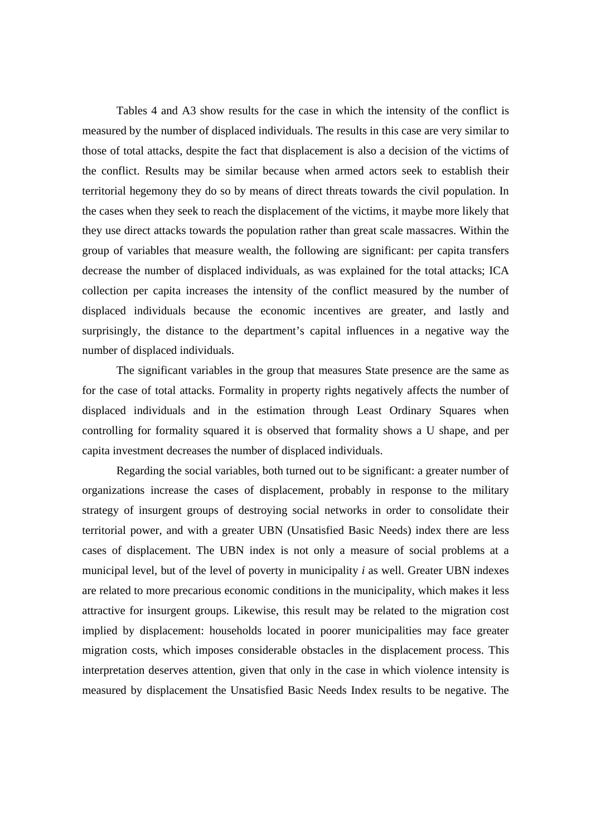Tables 4 and A3 show results for the case in which the intensity of the conflict is measured by the number of displaced individuals. The results in this case are very similar to those of total attacks, despite the fact that displacement is also a decision of the victims of the conflict. Results may be similar because when armed actors seek to establish their territorial hegemony they do so by means of direct threats towards the civil population. In the cases when they seek to reach the displacement of the victims, it maybe more likely that they use direct attacks towards the population rather than great scale massacres. Within the group of variables that measure wealth, the following are significant: per capita transfers decrease the number of displaced individuals, as was explained for the total attacks; ICA collection per capita increases the intensity of the conflict measured by the number of displaced individuals because the economic incentives are greater, and lastly and surprisingly, the distance to the department's capital influences in a negative way the number of displaced individuals.

 The significant variables in the group that measures State presence are the same as for the case of total attacks. Formality in property rights negatively affects the number of displaced individuals and in the estimation through Least Ordinary Squares when controlling for formality squared it is observed that formality shows a U shape, and per capita investment decreases the number of displaced individuals.

Regarding the social variables, both turned out to be significant: a greater number of organizations increase the cases of displacement, probably in response to the military strategy of insurgent groups of destroying social networks in order to consolidate their territorial power, and with a greater UBN (Unsatisfied Basic Needs) index there are less cases of displacement. The UBN index is not only a measure of social problems at a municipal level, but of the level of poverty in municipality *i* as well. Greater UBN indexes are related to more precarious economic conditions in the municipality, which makes it less attractive for insurgent groups. Likewise, this result may be related to the migration cost implied by displacement: households located in poorer municipalities may face greater migration costs, which imposes considerable obstacles in the displacement process. This interpretation deserves attention, given that only in the case in which violence intensity is measured by displacement the Unsatisfied Basic Needs Index results to be negative. The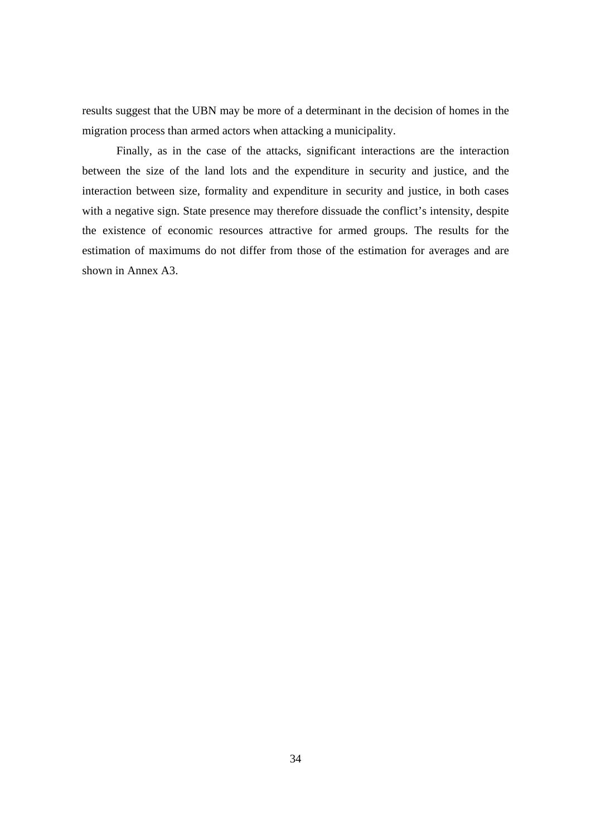results suggest that the UBN may be more of a determinant in the decision of homes in the migration process than armed actors when attacking a municipality.

Finally, as in the case of the attacks, significant interactions are the interaction between the size of the land lots and the expenditure in security and justice, and the interaction between size, formality and expenditure in security and justice, in both cases with a negative sign. State presence may therefore dissuade the conflict's intensity, despite the existence of economic resources attractive for armed groups. The results for the estimation of maximums do not differ from those of the estimation for averages and are shown in Annex A3.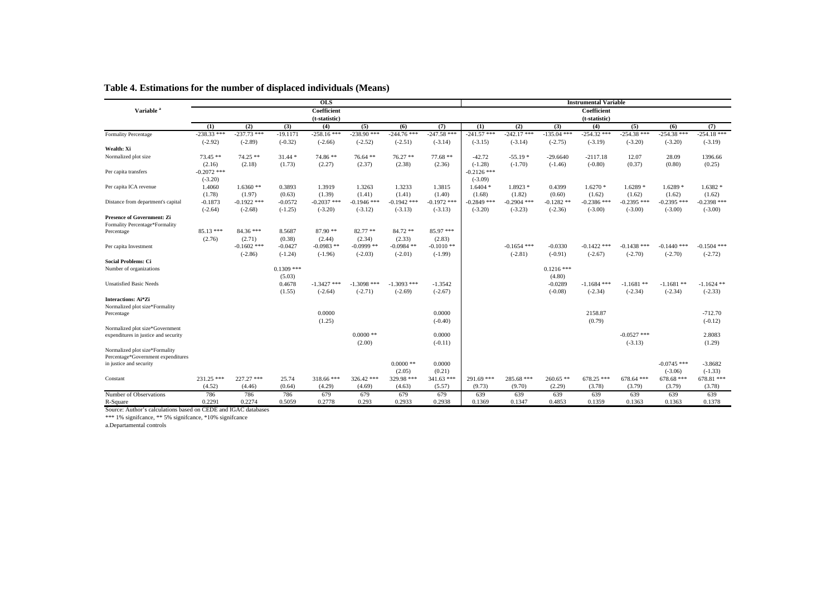|                                                                     |               |               |              | <b>OLS</b>       |               |               |                     |               |               |               | <b>Instrumental Variable</b> |               |               |                        |
|---------------------------------------------------------------------|---------------|---------------|--------------|------------------|---------------|---------------|---------------------|---------------|---------------|---------------|------------------------------|---------------|---------------|------------------------|
| Variable <sup>a</sup>                                               |               |               |              | Coefficient      |               |               |                     |               |               |               | Coefficient                  |               |               |                        |
|                                                                     |               |               |              | (t-statistic)    |               |               |                     |               |               |               | (t-statistic)                |               |               |                        |
|                                                                     | (1)           | (2)           | (3)          | (4)              | (5)           | (6)           | (7)                 | (1)           | (2)           | (3)           | (4)                          | (5)           | (6)           | (7)                    |
| <b>Formality Percentage</b>                                         | $-238.33$ *** | $-237.73$ *** | $-19.1171$   | $-258.16$ ***    | $-238.90$ *** | $-244.76$ *** | $-247.58$ ***       | $-241.57$ *** | $-242.17$ *** | $-135.04$ *** | $-254.32$ ***                | $-254.38$ *** | $-254.38$ *** | $-254.18$ ***          |
|                                                                     | $(-2.92)$     | $(-2.89)$     | $(-0.32)$    | $(-2.66)$        | $(-2.52)$     | $(-2.51)$     | $(-3.14)$           | $(-3.15)$     | $(-3.14)$     | $(-2.75)$     | $(-3.19)$                    | $(-3.20)$     | $(-3.20)$     | $(-3.19)$              |
| Wealth: Xi                                                          |               |               |              |                  |               |               |                     |               |               |               |                              |               |               |                        |
| Normalized plot size                                                | $73.45**$     | $74.25$ **    | $31.44*$     | 74.86 **         | $76.64**$     | $76.27$ **    | $77.68**$           | $-42.72$      | $-55.19*$     | $-29.6640$    | $-2117.18$                   | 12.07         | 28.09         | 1396.66                |
|                                                                     | (2.16)        | (2.18)        | (1.73)       | (2.27)           | (2.37)        | (2.38)        | (2.36)              | $(-1.28)$     | $(-1.70)$     | $(-1.46)$     | $(-0.80)$                    | (0.37)        | (0.80)        | (0.25)                 |
| Per capita transfers                                                | $-0.2072$ *** |               |              |                  |               |               |                     | $-0.2126$ *** |               |               |                              |               |               |                        |
|                                                                     | $(-3.20)$     |               |              |                  |               |               |                     | $(-3.09)$     |               |               |                              |               |               |                        |
| Per capita ICA revenue                                              | 1.4060        | $1.6360**$    | 0.3893       | 1.3919           | 1.3263        | 1.3233        | 1.3815              | $1.6404*$     | $1.8923*$     | 0.4399        | $1.6270*$                    | $1.6289*$     | $1.6289*$     | $1.6382*$              |
|                                                                     | (1.78)        | (1.97)        | (0.63)       | (1.39)           | (1.41)        | (1.41)        | (1.40)              | (1.68)        | (1.82)        | (0.60)        | (1.62)                       | (1.62)        | (1.62)        | (1.62)                 |
| Distance from department's capital                                  | $-0.1873$     | $-0.1922$ *** | $-0.0572$    | $-0.2037$ ***    | $-0.1946$ *** | $-0.1942$ *** | $-0.1972$ ***       | $-0.2849$ *** | $-0.2904$ *** | $-0.1282$ **  | $-0.2386$ ***                | $-0.2395$ *** | $-0.2395$ *** | $-0.2398$ ***          |
|                                                                     | $(-2.64)$     | $(-2.68)$     | $(-1.25)$    | $(-3.20)$        | $(-3.12)$     | $(-3.13)$     | $(-3.13)$           | $(-3.20)$     | $(-3.23)$     | $(-2.36)$     | $(-3.00)$                    | $(-3.00)$     | $(-3.00)$     | $(-3.00)$              |
| <b>Presence of Government: Zi</b><br>Formality Percentage*Formality |               |               |              |                  |               |               |                     |               |               |               |                              |               |               |                        |
| Percentage                                                          | $85.13***$    | $84.36***$    | 8.5687       | $87.90**$        | $82.77**$     | 84.72 **      | 85.97 ***           |               |               |               |                              |               |               |                        |
|                                                                     | (2.76)        | (2.71)        | (0.38)       | (2.44)           | (2.34)        | (2.33)        | (2.83)              |               |               |               |                              |               |               |                        |
| Per capita Investment                                               |               | $-0.1602$ *** | $-0.0427$    | $-0.0983$ **     | $-0.0999$ **  | $-0.0984$ **  | $-0.1010**$         |               | $-0.1654$ *** | $-0.0330$     | $-0.1422$ ***                | $-0.1438$ *** | $-0.1440$ *** | $-0.1504$ ***          |
|                                                                     |               | $(-2.86)$     | $(-1.24)$    | $(-1.96)$        | $(-2.03)$     | $(-2.01)$     | $(-1.99)$           |               | $(-2.81)$     | $(-0.91)$     | $(-2.67)$                    | $(-2.70)$     | $(-2.70)$     | $(-2.72)$              |
| <b>Social Problems: Ci</b>                                          |               |               |              |                  |               |               |                     |               |               |               |                              |               |               |                        |
| Number of organizations                                             |               |               | $0.1309$ *** |                  |               |               |                     |               |               | $0.1216$ ***  |                              |               |               |                        |
|                                                                     |               |               | (5.03)       |                  |               |               |                     |               |               | (4.80)        |                              |               |               |                        |
| <b>Unsatisfied Basic Needs</b>                                      |               |               | 0.4678       | $-1.3427$ ***    | $-1.3098$ *** | $-1.3093$ *** | $-1.3542$           |               |               | $-0.0289$     | $-1.1684$ ***                | $-1.1681$ **  | $-1.1681$ **  | $-1.1624$ **           |
|                                                                     |               |               | (1.55)       | $(-2.64)$        | $(-2.71)$     | $(-2.69)$     | $(-2.67)$           |               |               | $(-0.08)$     | $(-2.34)$                    | $(-2.34)$     | $(-2.34)$     | $(-2.33)$              |
| Interactions: Ai*Zi                                                 |               |               |              |                  |               |               |                     |               |               |               |                              |               |               |                        |
| Normalized plot size*Formality                                      |               |               |              |                  |               |               |                     |               |               |               | 2158.87                      |               |               |                        |
| Percentage                                                          |               |               |              | 0.0000<br>(1.25) |               |               | 0.0000<br>$(-0.40)$ |               |               |               | (0.79)                       |               |               | $-712.70$<br>$(-0.12)$ |
| Normalized plot size*Government                                     |               |               |              |                  |               |               |                     |               |               |               |                              |               |               |                        |
| expenditures in justice and security                                |               |               |              |                  | $0.0000$ **   |               | 0.0000              |               |               |               |                              | $-0.0527$ *** |               | 2.8083                 |
|                                                                     |               |               |              |                  | (2.00)        |               | $(-0.11)$           |               |               |               |                              | $(-3.13)$     |               | (1.29)                 |
| Normalized plot size*Formality                                      |               |               |              |                  |               |               |                     |               |               |               |                              |               |               |                        |
| Percentage*Government expenditures                                  |               |               |              |                  |               |               |                     |               |               |               |                              |               |               |                        |
| in justice and security                                             |               |               |              |                  |               | $0.0000$ **   | 0.0000              |               |               |               |                              |               | $-0.0745$ *** | $-3.8682$              |
|                                                                     |               |               |              |                  |               | (2.05)        | (0.21)              |               |               |               |                              |               | $(-3.06)$     | $(-1.33)$              |
| Constant                                                            | 231.25 ***    | 227.27 ***    | 25.74        | $318.66$ ***     | 326.42 ***    | 329.98 ***    | $341.63$ ***        | 291.69 ***    | $285.68$ ***  | $260.65**$    | $678.25$ ***                 | $678.64$ ***  | $678.68$ ***  | $678.81$ ***           |
|                                                                     | (4.52)        | (4.46)        | (0.64)       | (4.29)           | (4.69)        | (4.63)        | (5.57)              | (9.73)        | (9.70)        | (2.29)        | (3.78)                       | (3.79)        | (3.79)        | (3.78)                 |
| Number of Observations                                              | 786           | 786           | 786          | 679              | 679           | 679           | 679                 | 639           | 639           | 639           | 639                          | 639           | 639           | 639                    |
| R-Square                                                            | 0.2291        | 0.2274        | 0.5059       | 0.2778           | 0.293         | 0.2933        | 0.2938              | 0.1369        | 0.1347        | 0.4853        | 0.1359                       | 0.1363        | 0.1363        | 0.1378                 |

#### **Table 4. Estimations for the number of displaced individuals (Means)**

Source: Author's calculations based on CEDE and IGAC databases

\*\*\* 1% signifcance, \*\* 5% signifcance, \*10% signifcance a.Departamental controls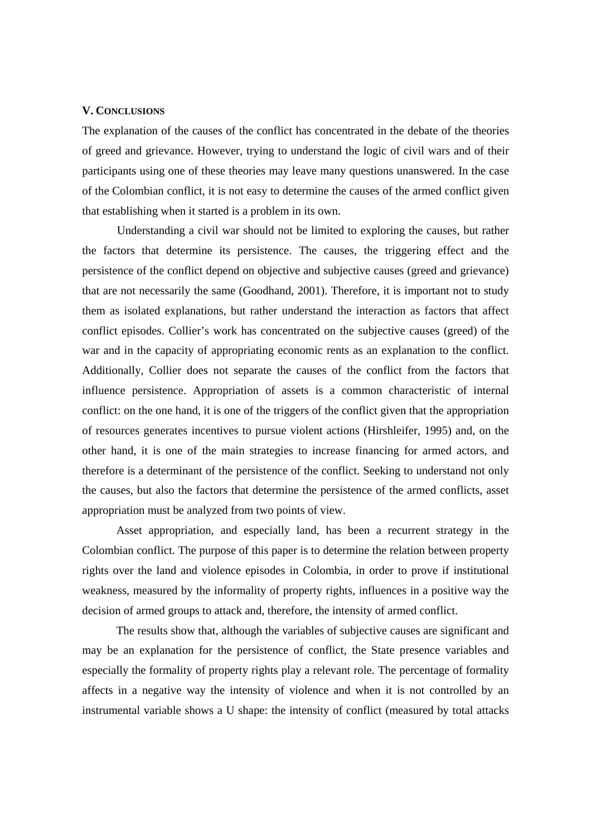#### **V. CONCLUSIONS**

The explanation of the causes of the conflict has concentrated in the debate of the theories of greed and grievance. However, trying to understand the logic of civil wars and of their participants using one of these theories may leave many questions unanswered. In the case of the Colombian conflict, it is not easy to determine the causes of the armed conflict given that establishing when it started is a problem in its own.

 Understanding a civil war should not be limited to exploring the causes, but rather the factors that determine its persistence. The causes, the triggering effect and the persistence of the conflict depend on objective and subjective causes (greed and grievance) that are not necessarily the same (Goodhand, 2001). Therefore, it is important not to study them as isolated explanations, but rather understand the interaction as factors that affect conflict episodes. Collier's work has concentrated on the subjective causes (greed) of the war and in the capacity of appropriating economic rents as an explanation to the conflict. Additionally, Collier does not separate the causes of the conflict from the factors that influence persistence. Appropriation of assets is a common characteristic of internal conflict: on the one hand, it is one of the triggers of the conflict given that the appropriation of resources generates incentives to pursue violent actions (Hirshleifer, 1995) and, on the other hand, it is one of the main strategies to increase financing for armed actors, and therefore is a determinant of the persistence of the conflict. Seeking to understand not only the causes, but also the factors that determine the persistence of the armed conflicts, asset appropriation must be analyzed from two points of view.

 Asset appropriation, and especially land, has been a recurrent strategy in the Colombian conflict. The purpose of this paper is to determine the relation between property rights over the land and violence episodes in Colombia, in order to prove if institutional weakness, measured by the informality of property rights, influences in a positive way the decision of armed groups to attack and, therefore, the intensity of armed conflict.

 The results show that, although the variables of subjective causes are significant and may be an explanation for the persistence of conflict, the State presence variables and especially the formality of property rights play a relevant role. The percentage of formality affects in a negative way the intensity of violence and when it is not controlled by an instrumental variable shows a U shape: the intensity of conflict (measured by total attacks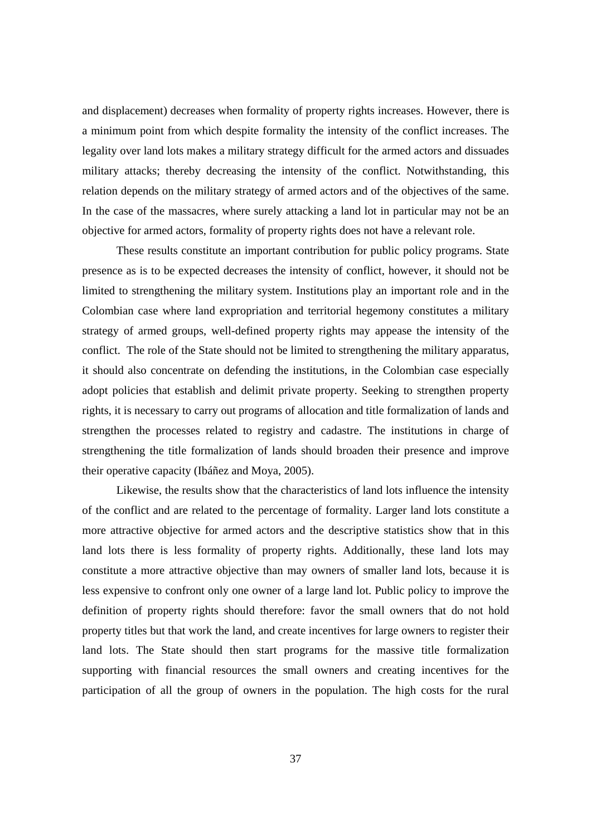and displacement) decreases when formality of property rights increases. However, there is a minimum point from which despite formality the intensity of the conflict increases. The legality over land lots makes a military strategy difficult for the armed actors and dissuades military attacks; thereby decreasing the intensity of the conflict. Notwithstanding, this relation depends on the military strategy of armed actors and of the objectives of the same. In the case of the massacres, where surely attacking a land lot in particular may not be an objective for armed actors, formality of property rights does not have a relevant role.

 These results constitute an important contribution for public policy programs. State presence as is to be expected decreases the intensity of conflict, however, it should not be limited to strengthening the military system. Institutions play an important role and in the Colombian case where land expropriation and territorial hegemony constitutes a military strategy of armed groups, well-defined property rights may appease the intensity of the conflict. The role of the State should not be limited to strengthening the military apparatus, it should also concentrate on defending the institutions, in the Colombian case especially adopt policies that establish and delimit private property. Seeking to strengthen property rights, it is necessary to carry out programs of allocation and title formalization of lands and strengthen the processes related to registry and cadastre. The institutions in charge of strengthening the title formalization of lands should broaden their presence and improve their operative capacity (Ibáñez and Moya, 2005).

Likewise, the results show that the characteristics of land lots influence the intensity of the conflict and are related to the percentage of formality. Larger land lots constitute a more attractive objective for armed actors and the descriptive statistics show that in this land lots there is less formality of property rights. Additionally, these land lots may constitute a more attractive objective than may owners of smaller land lots, because it is less expensive to confront only one owner of a large land lot. Public policy to improve the definition of property rights should therefore: favor the small owners that do not hold property titles but that work the land, and create incentives for large owners to register their land lots. The State should then start programs for the massive title formalization supporting with financial resources the small owners and creating incentives for the participation of all the group of owners in the population. The high costs for the rural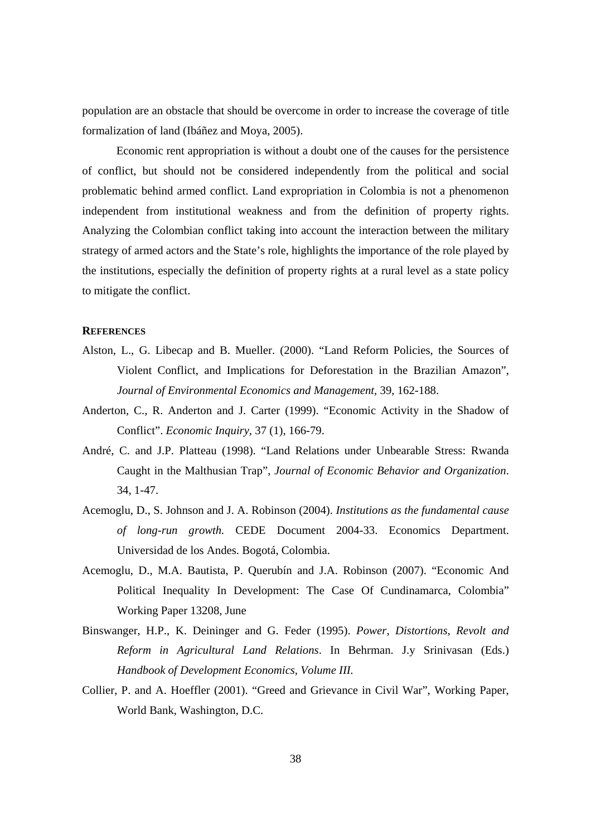population are an obstacle that should be overcome in order to increase the coverage of title formalization of land (Ibáñez and Moya, 2005).

 Economic rent appropriation is without a doubt one of the causes for the persistence of conflict, but should not be considered independently from the political and social problematic behind armed conflict. Land expropriation in Colombia is not a phenomenon independent from institutional weakness and from the definition of property rights. Analyzing the Colombian conflict taking into account the interaction between the military strategy of armed actors and the State's role, highlights the importance of the role played by the institutions, especially the definition of property rights at a rural level as a state policy to mitigate the conflict.

#### **REFERENCES**

- Alston, L., G. Libecap and B. Mueller. (2000). "Land Reform Policies, the Sources of Violent Conflict, and Implications for Deforestation in the Brazilian Amazon", *Journal of Environmental Economics and Management,* 39, 162-188.
- Anderton, C., R. Anderton and J. Carter (1999). "Economic Activity in the Shadow of Conflict". *Economic Inquiry,* 37 (1), 166-79.
- André, C. and J.P. Platteau (1998). "Land Relations under Unbearable Stress: Rwanda Caught in the Malthusian Trap", *Journal of Economic Behavior and Organization*. 34, 1-47.
- Acemoglu, D., S. Johnson and J. A. Robinson (2004). *Institutions as the fundamental cause of long-run growth.* CEDE Document 2004-33. Economics Department. Universidad de los Andes. Bogotá, Colombia.
- Acemoglu, D., M.A. Bautista, P. Querubín and J.A. Robinson (2007). "Economic And Political Inequality In Development: The Case Of Cundinamarca, Colombia" Working Paper 13208, June
- Binswanger, H.P., K. Deininger and G. Feder (1995). *Power, Distortions, Revolt and Reform in Agricultural Land Relations*. In Behrman. J.y Srinivasan (Eds.) *Handbook of Development Economics*, *Volume III.*
- Collier, P. and A. Hoeffler (2001). "Greed and Grievance in Civil War", Working Paper, World Bank, Washington, D.C.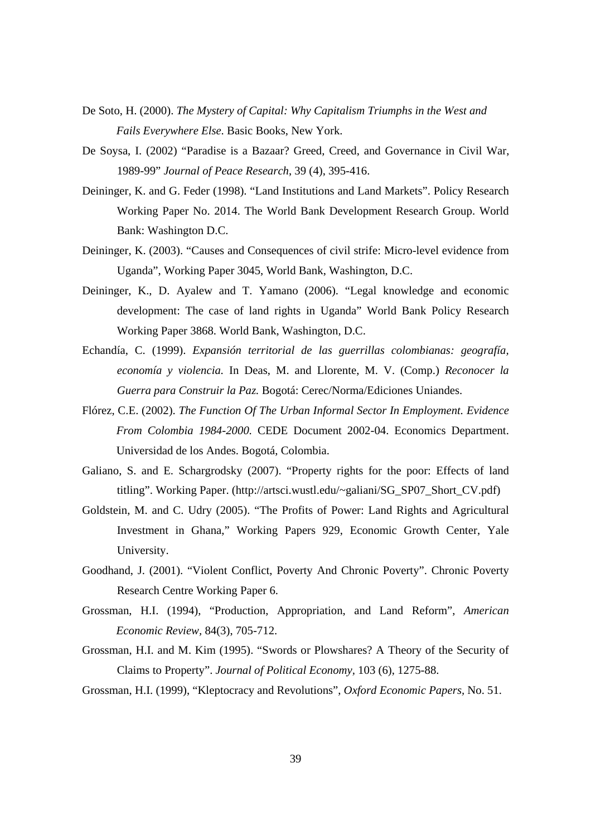- De Soto, H. (2000). *The Mystery of Capital: Why Capitalism Triumphs in the West and Fails Everywhere Else.* Basic Books, New York.
- De Soysa, I. (2002) "Paradise is a Bazaar? Greed, Creed, and Governance in Civil War, 1989-99" *Journal of Peace Research*, 39 (4), 395-416.
- Deininger, K. and G. Feder (1998). "Land Institutions and Land Markets". Policy Research Working Paper No. 2014. The World Bank Development Research Group. World Bank: Washington D.C.
- Deininger, K. (2003). "Causes and Consequences of civil strife: Micro-level evidence from Uganda", Working Paper 3045, World Bank, Washington, D.C.
- Deininger, K., D. Ayalew and T. Yamano (2006). "Legal knowledge and economic development: The case of land rights in Uganda" World Bank Policy Research Working Paper 3868. World Bank, Washington, D.C.
- Echandía, C. (1999). *Expansión territorial de las guerrillas colombianas: geografía, economía y violencia.* In Deas, M. and Llorente, M. V. (Comp.) *Reconocer la Guerra para Construir la Paz.* Bogotá: Cerec/Norma/Ediciones Uniandes.
- Flórez, C.E. (2002). *The Function Of The Urban Informal Sector In Employment. Evidence From Colombia 1984-2000.* CEDE Document 2002-04. Economics Department. Universidad de los Andes. Bogotá, Colombia.
- Galiano, S. and E. Schargrodsky (2007). "Property rights for the poor: Effects of land titling". Working Paper. (http://artsci.wustl.edu/~galiani/SG\_SP07\_Short\_CV.pdf)
- Goldstein, M. and C. Udry (2005). "The Profits of Power: Land Rights and Agricultural Investment in Ghana," Working Papers 929, Economic Growth Center, Yale University.
- Goodhand, J. (2001). "Violent Conflict, Poverty And Chronic Poverty". Chronic Poverty Research Centre Working Paper 6.
- Grossman, H.I. (1994), "Production, Appropriation, and Land Reform", *American Economic Review,* 84(3), 705-712.
- Grossman, H.I. and M. Kim (1995). "Swords or Plowshares? A Theory of the Security of Claims to Property". *Journal of Political Economy,* 103 (6), 1275-88.
- Grossman, H.I. (1999), "Kleptocracy and Revolutions", *Oxford Economic Papers,* No. 51.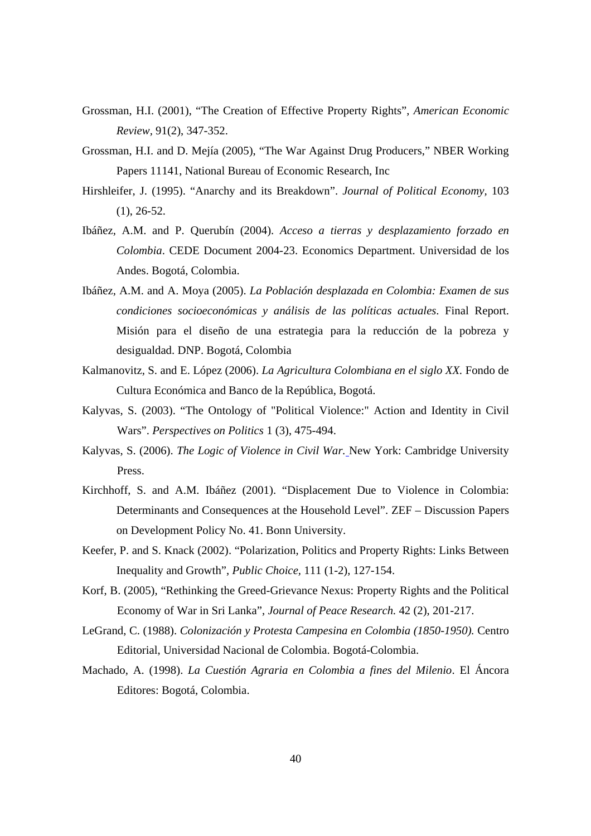- Grossman, H.I. (2001), "The Creation of Effective Property Rights", *American Economic Review,* 91(2), 347-352.
- Grossman, H.I. and D. Mejía (2005), "The War Against Drug Producers," NBER Working Papers 11141, National Bureau of Economic Research, Inc
- Hirshleifer, J. (1995). "Anarchy and its Breakdown". *Journal of Political Economy,* 103 (1), 26-52.
- Ibáñez, A.M. and P. Querubín (2004). *Acceso a tierras y desplazamiento forzado en Colombia*. CEDE Document 2004-23. Economics Department. Universidad de los Andes. Bogotá, Colombia.
- Ibáñez, A.M. and A. Moya (2005). *La Población desplazada en Colombia: Examen de sus condiciones socioeconómicas y análisis de las políticas actuales*. Final Report. Misión para el diseño de una estrategia para la reducción de la pobreza y desigualdad. DNP. Bogotá, Colombia
- Kalmanovitz, S. and E. López (2006). *La Agricultura Colombiana en el siglo XX.* Fondo de Cultura Económica and Banco de la República, Bogotá.
- Kalyvas, S. (2003). "The Ontology of "Political Violence:" Action and Identity in Civil Wars". *Perspectives on Politics* 1 (3), 475-494.
- Kalyvas, S. (2006). *The Logic of Violence in Civil War.* New York: Cambridge University Press.
- Kirchhoff, S. and A.M. Ibáñez (2001). "Displacement Due to Violence in Colombia: Determinants and Consequences at the Household Level". ZEF – Discussion Papers on Development Policy No. 41. Bonn University.
- Keefer, P. and S. Knack (2002). "Polarization, Politics and Property Rights: Links Between Inequality and Growth", *Public Choice,* 111 (1-2), 127-154.
- Korf, B. (2005), "Rethinking the Greed-Grievance Nexus: Property Rights and the Political Economy of War in Sri Lanka", *Journal of Peace Research.* 42 (2), 201-217.
- LeGrand, C. (1988). *Colonización y Protesta Campesina en Colombia (1850-1950).* Centro Editorial, Universidad Nacional de Colombia. Bogotá-Colombia.
- Machado, A. (1998). *La Cuestión Agraria en Colombia a fines del Milenio*. El Áncora Editores: Bogotá, Colombia.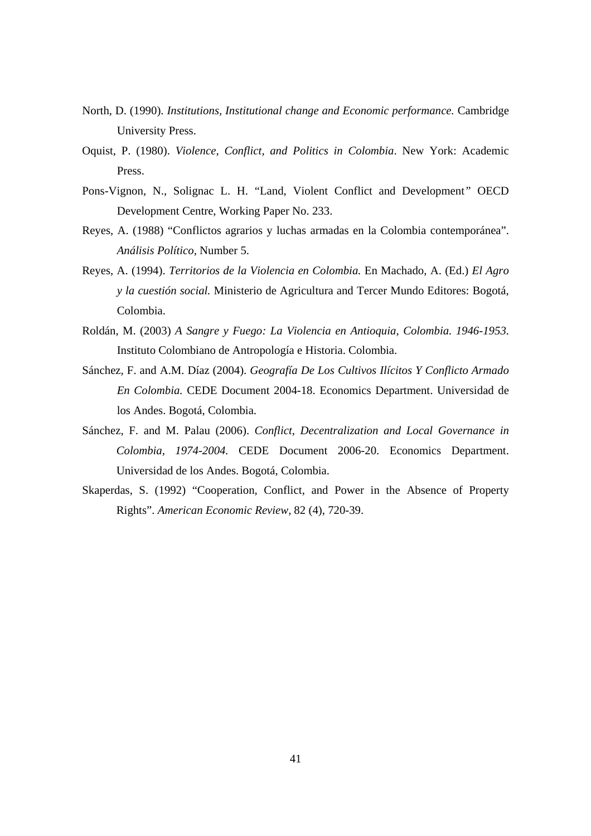- North, D. (1990). *Institutions, Institutional change and Economic performance.* Cambridge University Press.
- Oquist, P. (1980). *Violence, Conflict, and Politics in Colombia*. New York: Academic Press.
- Pons-Vignon, N., Solignac L. H. "Land, Violent Conflict and Development*"* OECD Development Centre, Working Paper No. 233.
- Reyes, A. (1988) "Conflictos agrarios y luchas armadas en la Colombia contemporánea". *Análisis Político,* Number 5.
- Reyes, A. (1994). *Territorios de la Violencia en Colombia.* En Machado, A. (Ed.) *El Agro y la cuestión social.* Ministerio de Agricultura and Tercer Mundo Editores: Bogotá, Colombia.
- Roldán, M. (2003) *A Sangre y Fuego: La Violencia en Antioquia, Colombia. 1946-1953.*  Instituto Colombiano de Antropología e Historia. Colombia.
- Sánchez, F. and A.M. Díaz (2004). *Geografía De Los Cultivos Ilícitos Y Conflicto Armado En Colombia.* CEDE Document 2004-18. Economics Department. Universidad de los Andes. Bogotá, Colombia.
- Sánchez, F. and M. Palau (2006). *Conflict, Decentralization and Local Governance in Colombia, 1974-2004.* CEDE Document 2006-20. Economics Department. Universidad de los Andes. Bogotá, Colombia.
- Skaperdas, S. (1992) "Cooperation, Conflict, and Power in the Absence of Property Rights". *American Economic Review,* 82 (4), 720-39.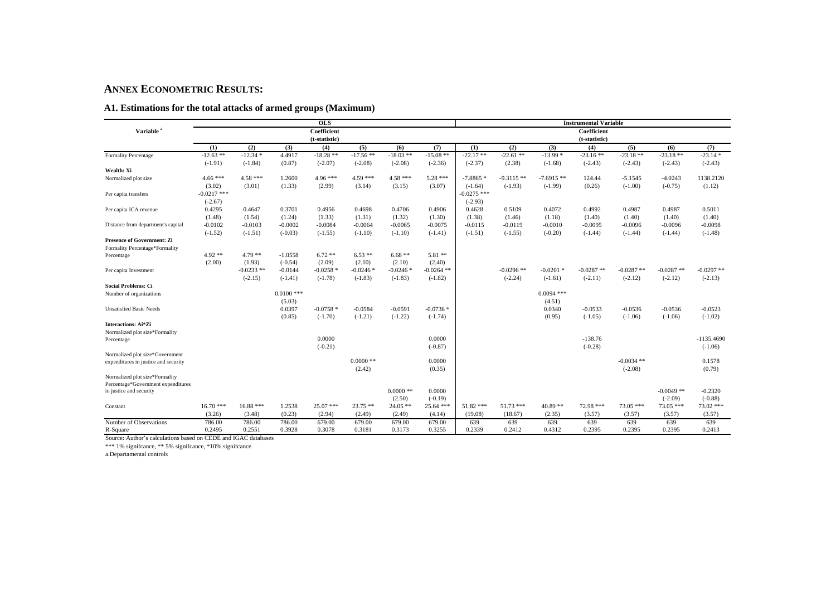#### **ANNEX ECONOMETRIC RESULTS:**

#### **A1. Estimations for the total attacks of armed groups (Maximum)**

|                                      |               |             |              | <b>OLS</b>    |             |             |              |               |              |              | <b>Instrumental Variable</b> |              |              |              |
|--------------------------------------|---------------|-------------|--------------|---------------|-------------|-------------|--------------|---------------|--------------|--------------|------------------------------|--------------|--------------|--------------|
| Variable <sup>a</sup>                |               |             |              | Coefficient   |             |             |              |               |              |              | Coefficient                  |              |              |              |
|                                      |               |             |              | (t-statistic) |             |             |              |               |              |              | (t-statistic)                |              |              |              |
|                                      | (1)           | (2)         | (3)          | (4)           | (5)         | (6)         | (7)          | (1)           | (2)          | (3)          | (4)                          | (5)          | (6)          | (7)          |
| <b>Formality Percentage</b>          | $-12.63$ **   | $-12.34*$   | 4.4917       | $-18.28**$    | $-17.56$ ** | $-18.03$ ** | $-15.08$ **  | $-22.17**$    | $-22.61**$   | $-13.99*$    | $-23.16**$                   | $-23.18**$   | $-23.18**$   | $-23.14*$    |
|                                      | $(-1.91)$     | $(-1.84)$   | (0.87)       | $(-2.07)$     | $(-2.08)$   | $(-2.08)$   | $(-2.36)$    | $(-2.37)$     | (2.38)       | $(-1.68)$    | $(-2.43)$                    | $(-2.43)$    | $(-2.43)$    | $(-2.43)$    |
| Wealth: Xi                           |               |             |              |               |             |             |              |               |              |              |                              |              |              |              |
| Normalized plot size                 | $4.66***$     | $4.58***$   | 1.2600       | $4.96***$     | $4.59***$   | $4.58***$   | $5.28***$    | $-7.8865*$    | $-9.3115**$  | $-7.6915**$  | 124.44                       | $-5.1545$    | $-4.0243$    | 1138.2120    |
|                                      | (3.02)        | (3.01)      | (1.33)       | (2.99)        | (3.14)      | (3.15)      | (3.07)       | $(-1.64)$     | $(-1.93)$    | $(-1.99)$    | (0.26)                       | $(-1.00)$    | $(-0.75)$    | (1.12)       |
| Per capita transfers                 | $-0.0217$ *** |             |              |               |             |             |              | $-0.0275$ *** |              |              |                              |              |              |              |
|                                      | $(-2.67)$     |             |              |               |             |             |              | $(-2.93)$     |              |              |                              |              |              |              |
| Per capita ICA revenue               | 0.4295        | 0.4647      | 0.3701       | 0.4956        | 0.4698      | 0.4706      | 0.4906       | 0.4628        | 0.5109       | 0.4072       | 0.4992                       | 0.4987       | 0.4987       | 0.5011       |
|                                      | (1.48)        | (1.54)      | (1.24)       | (1.33)        | (1.31)      | (1.32)      | (1.30)       | (1.38)        | (1.46)       | (1.18)       | (1.40)                       | (1.40)       | (1.40)       | (1.40)       |
| Distance from department's capital   | $-0.0102$     | $-0.0103$   | $-0.0002$    | $-0.0084$     | $-0.0064$   | $-0.0065$   | $-0.0075$    | $-0.0115$     | $-0.0119$    | $-0.0010$    | $-0.0095$                    | $-0.0096$    | $-0.0096$    | $-0.0098$    |
|                                      | $(-1.52)$     | $(-1.51)$   | $(-0.03)$    | $(-1.55)$     | $(-1.10)$   | $(-1.10)$   | $(-1.41)$    | $(-1.51)$     | $(-1.55)$    | $(-0.20)$    | $(-1.44)$                    | $(-1.44)$    | $(-1.44)$    | $(-1.48)$    |
| <b>Presence of Government: Zi</b>    |               |             |              |               |             |             |              |               |              |              |                              |              |              |              |
| Formality Percentage*Formality       |               |             |              |               |             |             |              |               |              |              |                              |              |              |              |
| Percentage                           | $4.92**$      | $4.79**$    | $-1.0558$    | $6.72**$      | $6.53**$    | $6.68**$    | $5.81**$     |               |              |              |                              |              |              |              |
|                                      | (2.00)        | (1.93)      | $(-0.54)$    | (2.09)        | (2.10)      | (2.10)      | (2.40)       |               |              |              |                              |              |              |              |
| Per capita Investment                |               | $-0.0233**$ | $-0.0144$    | $-0.0258$ *   | $-0.0246*$  | $-0.0246*$  | $-0.0264$ ** |               | $-0.0296$ ** | $-0.0201$ *  | $-0.0287$ **                 | $-0.0287$ ** | $-0.0287$ ** | $-0.0297$ ** |
|                                      |               | $(-2.15)$   | $(-1.41)$    | $(-1.78)$     | $(-1.83)$   | $(-1.83)$   | $(-1.82)$    |               | $(-2.24)$    | $(-1.61)$    | $(-2.11)$                    | $(-2.12)$    | $(-2.12)$    | $(-2.13)$    |
| <b>Social Problems: Ci</b>           |               |             |              |               |             |             |              |               |              |              |                              |              |              |              |
| Number of organizations              |               |             | $0.0100$ *** |               |             |             |              |               |              | $0.0094$ *** |                              |              |              |              |
|                                      |               |             | (5.03)       |               |             |             |              |               |              | (4.51)       |                              |              |              |              |
| <b>Unsatisfied Basic Needs</b>       |               |             | 0.0397       | $-0.0758*$    | $-0.0584$   | $-0.0591$   | $-0.0736*$   |               |              | 0.0340       | $-0.0533$                    | $-0.0536$    | $-0.0536$    | $-0.0523$    |
|                                      |               |             | (0.85)       | $(-1.70)$     | $(-1.21)$   | $(-1.22)$   | $(-1.74)$    |               |              | (0.95)       | $(-1.05)$                    | $(-1.06)$    | $(-1.06)$    | $(-1.02)$    |
| <b>Interactions: Ai*Zi</b>           |               |             |              |               |             |             |              |               |              |              |                              |              |              |              |
| Normalized plot size*Formality       |               |             |              | 0.0000        |             |             | 0.0000       |               |              |              | $-138.76$                    |              |              | $-1135.4690$ |
| Percentage                           |               |             |              | $(-0.21)$     |             |             | $(-0.87)$    |               |              |              | $(-0.28)$                    |              |              |              |
| Normalized plot size*Government      |               |             |              |               |             |             |              |               |              |              |                              |              |              | $(-1.06)$    |
| expenditures in justice and security |               |             |              |               | $0.0000$ ** |             | 0.0000       |               |              |              |                              | $-0.0034$ ** |              | 0.1578       |
|                                      |               |             |              |               | (2.42)      |             | (0.35)       |               |              |              |                              | $(-2.08)$    |              | (0.79)       |
| Normalized plot size*Formality       |               |             |              |               |             |             |              |               |              |              |                              |              |              |              |
| Percentage*Government expenditures   |               |             |              |               |             |             |              |               |              |              |                              |              |              |              |
| in justice and security              |               |             |              |               |             | $0.0000$ ** | 0.0000       |               |              |              |                              |              | $-0.0049**$  | $-0.2320$    |
|                                      |               |             |              |               |             | (2.50)      | $(-0.19)$    |               |              |              |                              |              | $(-2.09)$    | $(-0.88)$    |
| Constant                             | $16.70***$    | $16.88***$  | 1.2538       | 25.07 ***     | $23.75**$   | $24.05$ **  | 25.64 ***    | $51.82$ ***   | $51.73$ ***  | $40.89**$    | 72.98 ***                    | $73.05$ ***  | $73.05$ ***  | 73.02 ***    |
|                                      | (3.26)        | (3.48)      | (0.23)       | (2.94)        | (2.49)      | (2.49)      | (4.14)       | (19.08)       | (18.67)      | (2.35)       | (3.57)                       | (3.57)       | (3.57)       | (3.57)       |
| Number of Observations               | 786.00        | 786.00      | 786.00       | 679.00        | 679.00      | 679.00      | 679.00       | 639           | 639          | 639          | 639                          | 639          | 639          | 639          |
| R-Square                             | 0.2495        | 0.2551      | 0.3928       | 0.3078        | 0.3181      | 0.3173      | 0.3255       | 0.2339        | 0.2412       | 0.4312       | 0.2395                       | 0.2395       | 0.2395       | 0.2413       |

Source: Author's calculations based on CEDE and IGAC databases \*\*\* 1% signifcance, \*\* 5% signifcance, \*10% signifcance

a.Departamental controls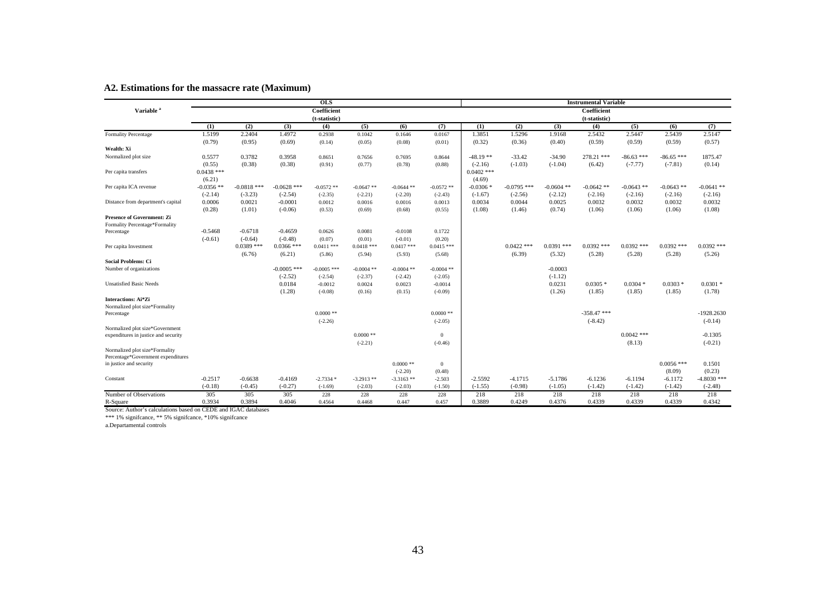|                                                                     |              |               |               | <b>OLS</b>    |              |              |              |              |               |              | <b>Instrumental Variable</b> |              |              |               |
|---------------------------------------------------------------------|--------------|---------------|---------------|---------------|--------------|--------------|--------------|--------------|---------------|--------------|------------------------------|--------------|--------------|---------------|
| Variable <sup>a</sup>                                               |              |               |               | Coefficient   |              |              |              |              |               |              | Coefficient                  |              |              |               |
|                                                                     |              |               |               | (t-statistic) |              |              |              |              |               |              | (t-statistic)                |              |              |               |
|                                                                     | (1)          | (2)           | (3)           | (4)           | (5)          | (6)          | (7)          | (1)          | (2)           | (3)          | (4)                          | (5)          | (6)          | (7)           |
| <b>Formality Percentage</b>                                         | 1.5199       | 2.2404        | 1.4972        | 0.2938        | 0.1042       | 0.1646       | 0.0167       | 1.3851       | 1.5296        | 1.9168       | 2.5432                       | 2.5447       | 2.5439       | 2.5147        |
|                                                                     | (0.79)       | (0.95)        | (0.69)        | (0.14)        | (0.05)       | (0.08)       | (0.01)       | (0.32)       | (0.36)        | (0.40)       | (0.59)                       | (0.59)       | (0.59)       | (0.57)        |
| Wealth: Xi                                                          |              |               |               |               |              |              |              |              |               |              |                              |              |              |               |
| Normalized plot size                                                | 0.5577       | 0.3782        | 0.3958        | 0.8651        | 0.7656       | 0.7695       | 0.8644       | $-48.19**$   | $-33.42$      | $-34.90$     | 278.21 ***                   | $-86.63$ *** | $-86.65$ *** | 1875.47       |
|                                                                     | (0.55)       | (0.38)        | (0.38)        | (0.91)        | (0.77)       | (0.78)       | (0.88)       | $(-2.16)$    | $(-1.03)$     | $(-1.04)$    | (6.42)                       | $(-7.77)$    | $(-7.81)$    | (0.14)        |
| Per capita transfers                                                | $0.0438$ *** |               |               |               |              |              |              | $0.0402$ *** |               |              |                              |              |              |               |
|                                                                     | (6.21)       |               |               |               |              |              |              | (4.69)       |               |              |                              |              |              |               |
| Per capita ICA revenue                                              | $-0.0356$ ** | $-0.0818$ *** | $-0.0628$ *** | $-0.0572$ **  | $-0.0647$ ** | $-0.0644$ ** | $-0.0572$ ** | $-0.0306*$   | $-0.0795$ *** | $-0.0604$ ** | $-0.0642$ **                 | $-0.0643$ ** | $-0.0643$ ** | $-0.0641$ **  |
|                                                                     | $(-2.14)$    | $(-3.23)$     | $(-2.54)$     | $(-2.35)$     | $(-2.21)$    | $(-2.20)$    | $(-2.43)$    | $(-1.67)$    | $(-2.56)$     | $(-2.12)$    | $(-2.16)$                    | $(-2.16)$    | $(-2.16)$    | $(-2.16)$     |
| Distance from department's capital                                  | 0.0006       | 0.0021        | $-0.0001$     | 0.0012        | 0.0016       | 0.0016       | 0.0013       | 0.0034       | 0.0044        | 0.0025       | 0.0032                       | 0.0032       | 0.0032       | 0.0032        |
|                                                                     | (0.28)       | (1.01)        | $(-0.06)$     | (0.53)        | (0.69)       | (0.68)       | (0.55)       | (1.08)       | (1.46)        | (0.74)       | (1.06)                       | (1.06)       | (1.06)       | (1.08)        |
| <b>Presence of Government: Zi</b><br>Formality Percentage*Formality |              |               |               |               |              |              |              |              |               |              |                              |              |              |               |
| Percentage                                                          | $-0.5468$    | $-0.6718$     | $-0.4659$     | 0.0626        | 0.0081       | $-0.0108$    | 0.1722       |              |               |              |                              |              |              |               |
|                                                                     | $(-0.61)$    | $(-0.64)$     | $(-0.48)$     | (0.07)        | (0.01)       | $(-0.01)$    | (0.20)       |              |               |              |                              |              |              |               |
| Per capita Investment                                               |              | $0.0389$ ***  | $0.0366$ ***  | $0.0411$ ***  | $0.0418$ *** | $0.0417$ *** | $0.0415$ *** |              | $0.0422$ ***  | $0.0391$ *** | $0.0392$ ***                 | $0.0392$ *** | $0.0392$ *** | $0.0392$ ***  |
|                                                                     |              | (6.76)        | (6.21)        | (5.86)        | (5.94)       | (5.93)       | (5.68)       |              | (6.39)        | (5.32)       | (5.28)                       | (5.28)       | (5.28)       | (5.26)        |
| <b>Social Problems: Ci</b>                                          |              |               |               |               |              |              |              |              |               |              |                              |              |              |               |
| Number of organizations                                             |              |               | $-0.0005$ *** | $-0.0005$ *** | $-0.0004$ ** | $-0.0004$ ** | $-0.0004$ ** |              |               | $-0.0003$    |                              |              |              |               |
|                                                                     |              |               | $(-2.52)$     | $(-2.54)$     | $(-2.37)$    | $(-2.42)$    | $(-2.05)$    |              |               | $(-1.12)$    |                              |              |              |               |
| <b>Unsatisfied Basic Needs</b>                                      |              |               | 0.0184        | $-0.0012$     | 0.0024       | 0.0023       | $-0.0014$    |              |               | 0.0231       | $0.0305*$                    | $0.0304*$    | $0.0303*$    | $0.0301*$     |
|                                                                     |              |               | (1.28)        | $(-0.08)$     | (0.16)       | (0.15)       | $(-0.09)$    |              |               | (1.26)       | (1.85)                       | (1.85)       | (1.85)       | (1.78)        |
| <b>Interactions: Ai*Zi</b>                                          |              |               |               |               |              |              |              |              |               |              |                              |              |              |               |
| Normalized plot size*Formality                                      |              |               |               |               |              |              |              |              |               |              |                              |              |              |               |
| Percentage                                                          |              |               |               | $0.0000$ **   |              |              | $0.0000$ **  |              |               |              | $-358.47$ ***                |              |              | $-1928.2630$  |
|                                                                     |              |               |               | $(-2.26)$     |              |              | $(-2.05)$    |              |               |              | $(-8.42)$                    |              |              | $(-0.14)$     |
| Normalized plot size*Government                                     |              |               |               |               |              |              |              |              |               |              |                              | $0.0042$ *** |              | $-0.1305$     |
| expenditures in justice and security                                |              |               |               |               | $0.0000$ **  |              | $\Omega$     |              |               |              |                              |              |              |               |
| Normalized plot size*Formality                                      |              |               |               |               | $(-2.21)$    |              | $(-0.46)$    |              |               |              |                              | (8.13)       |              | $(-0.21)$     |
| Percentage*Government expenditures                                  |              |               |               |               |              |              |              |              |               |              |                              |              |              |               |
| in justice and security                                             |              |               |               |               |              | $0.0000$ **  | $\mathbf{0}$ |              |               |              |                              |              | $0.0056$ *** | 0.1501        |
|                                                                     |              |               |               |               |              | $(-2.20)$    | (0.48)       |              |               |              |                              |              | (8.09)       | (0.23)        |
| Constant                                                            | $-0.2517$    | $-0.6638$     | $-0.4169$     | $-2.7334*$    | $-3.2913**$  | $-3.3163**$  | $-2.503$     | $-2.5592$    | $-4.1715$     | $-5.1786$    | $-6.1236$                    | $-6.1194$    | $-6.1172$    | $-4.8030$ *** |
|                                                                     | $(-0.18)$    | $(-0.45)$     | $(-0.27)$     | $(-1.69)$     | $(-2.03)$    | $(-2.03)$    | $(-1.50)$    | $(-1.55)$    | $(-0.98)$     | $(-1.05)$    | $(-1.42)$                    | $(-1.42)$    | $(-1.42)$    | $(-2.48)$     |
| Number of Observations                                              | 305          | 305           | 305           | 228           | 228          | 228          | 228          | 218          | 218           | 218          | 218                          | 218          | 218          | 218           |
| R-Square                                                            | 0.3934       | 0.3894        | 0.4046        | 0.4564        | 0.4468       | 0.447        | 0.457        | 0.3889       | 0.4249        | 0.4376       | 0.4339                       | 0.4339       | 0.4339       | 0.4342        |

#### **A2. Estimations for the massacre rate (Maximum)**

Source: Author's calculations based on CEDE and IGAC databases

\*\*\* 1% signifcance, \*\* 5% signifcance, \*10% signifcance a.Departamental controls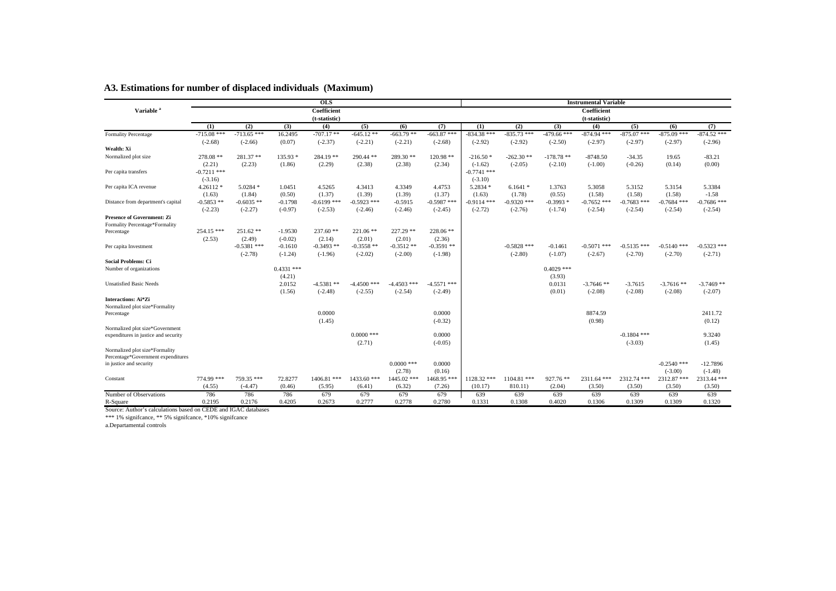|                                                                     |               |               |              | <b>OLS</b>    |               |               |               |               |               |               | <b>Instrumental Variable</b> |               |               |               |
|---------------------------------------------------------------------|---------------|---------------|--------------|---------------|---------------|---------------|---------------|---------------|---------------|---------------|------------------------------|---------------|---------------|---------------|
| Variable <sup>a</sup>                                               |               |               |              | Coefficient   |               |               |               |               |               |               | Coefficient                  |               |               |               |
|                                                                     |               |               |              | (t-statistic) |               |               |               |               |               |               | (t-statistic)                |               |               |               |
|                                                                     | (1)           | (2)           | (3)          | (4)           | (5)           | (6)           | (7)           | (1)           | (2)           | (3)           | (4)                          | (5)           | (6)           | (7)           |
| <b>Formality Percentage</b>                                         | $-715.08$ *** | $-713.65$ *** | 16.2495      | $-707.17**$   | $-645.12**$   | $-663.79**$   | $-663.87$ *** | $-834.38$ *** | $-835.73$ *** | $-479.66$ *** | $-874.94$ ***                | $-875.07$ *** | $-875.09$ *** | $-874.52$ *** |
|                                                                     | $(-2.68)$     | $(-2.66)$     | (0.07)       | $(-2.37)$     | $(-2.21)$     | $(-2.21)$     | $(-2.68)$     | $(-2.92)$     | $(-2.92)$     | $(-2.50)$     | $(-2.97)$                    | $(-2.97)$     | $(-2.97)$     | $(-2.96)$     |
| Wealth: Xi                                                          |               |               |              |               |               |               |               |               |               |               |                              |               |               |               |
| Normalized plot size                                                | $278.08$ **   | $281.37**$    | $135.93*$    | $284.19**$    | 290.44 **     | $289.30**$    | $120.98$ **   | $-216.50*$    | $-262.30**$   | $-178.78$ **  | $-8748.50$                   | $-34.35$      | 19.65         | $-83.21$      |
|                                                                     | (2.21)        | (2.23)        | (1.86)       | (2.29)        | (2.38)        | (2.38)        | (2.34)        | $(-1.62)$     | $(-2.05)$     | $(-2.10)$     | $(-1.00)$                    | $(-0.26)$     | (0.14)        | (0.00)        |
| Per capita transfers                                                | $-0.7211$ *** |               |              |               |               |               |               | $-0.7741$ *** |               |               |                              |               |               |               |
|                                                                     | $(-3.16)$     |               |              |               |               |               |               | $(-3.10)$     |               |               |                              |               |               |               |
| Per capita ICA revenue                                              | $4.26112*$    | $5.0284$ *    | 1.0451       | 4.5265        | 4.3413        | 4.3349        | 4.4753        | $5.2834*$     | $6.1641*$     | 1.3763        | 5.3058                       | 5.3152        | 5.3154        | 5.3384        |
|                                                                     | (1.63)        | (1.84)        | (0.50)       | (1.37)        | (1.39)        | (1.39)        | (1.37)        | (1.63)        | (1.78)        | (0.55)        | (1.58)                       | (1.58)        | (1.58)        | $-1.58$       |
| Distance from department's capital                                  | $-0.5853$ **  | $-0.6035$ **  | $-0.1798$    | $-0.6199$ *** | $-0.5923$ *** | $-0.5915$     | $-0.5987$ *** | $-0.9114$ *** | $-0.9320$ *** | $-0.3993*$    | $-0.7652$ ***                | $-0.7683$ *** | $-0.7684$ *** | $-0.7686$ *** |
|                                                                     | $(-2.23)$     | $(-2.27)$     | $(-0.97)$    | $(-2.53)$     | $(-2.46)$     | $(-2.46)$     | $(-2.45)$     | $(-2.72)$     | $(-2.76)$     | $(-1.74)$     | $(-2.54)$                    | $(-2.54)$     | $(-2.54)$     | $(-2.54)$     |
| <b>Presence of Government: Zi</b><br>Formality Percentage*Formality |               |               |              |               |               |               |               |               |               |               |                              |               |               |               |
| Percentage                                                          | 254.15 ***    | $251.62**$    | $-1.9530$    | $237.60**$    | $221.06$ **   | $227.29$ **   | $228.06$ **   |               |               |               |                              |               |               |               |
|                                                                     | (2.53)        | (2.49)        | $(-0.02)$    | (2.14)        | (2.01)        | (2.01)        | (2.36)        |               |               |               |                              |               |               |               |
| Per capita Investment                                               |               | $-0.5381$ *** | $-0.1610$    | $-0.3493$ **  | $-0.3558$ **  | $-0.3512$ **  | $-0.3591$ **  |               | $-0.5828$ *** | $-0.1461$     | $-0.5071$ ***                | $-0.5135$ *** | $-0.5140$ *** | $-0.5323$ *** |
|                                                                     |               | $(-2.78)$     | $(-1.24)$    | $(-1.96)$     | $(-2.02)$     | $(-2.00)$     | $(-1.98)$     |               | $(-2.80)$     | $(-1.07)$     | $(-2.67)$                    | $(-2.70)$     | $(-2.70)$     | $(-2.71)$     |
| <b>Social Problems: Ci</b>                                          |               |               |              |               |               |               |               |               |               |               |                              |               |               |               |
| Number of organizations                                             |               |               | $0.4331$ *** |               |               |               |               |               |               | $0.4029$ ***  |                              |               |               |               |
|                                                                     |               |               | (4.21)       |               |               |               |               |               |               | (3.93)        |                              |               |               |               |
| <b>Unsatisfied Basic Needs</b>                                      |               |               | 2.0152       | $-4.5381**$   | $-4.4500$ *** | $-4.4503$ *** | $-4.5571$ *** |               |               | 0.0131        | $-3.7646$ **                 | $-3.7615$     | $-3.7616**$   | $-3.7469**$   |
|                                                                     |               |               | (1.56)       | $(-2.48)$     | $(-2.55)$     | $(-2.54)$     | $(-2.49)$     |               |               | (0.01)        | $(-2.08)$                    | $(-2.08)$     | $(-2.08)$     | $(-2.07)$     |
| Interactions: Ai*Zi                                                 |               |               |              |               |               |               |               |               |               |               |                              |               |               |               |
| Normalized plot size*Formality                                      |               |               |              |               |               |               |               |               |               |               |                              |               |               |               |
| Percentage                                                          |               |               |              | 0.0000        |               |               | 0.0000        |               |               |               | 8874.59                      |               |               | 2411.72       |
|                                                                     |               |               |              | (1.45)        |               |               | $(-0.32)$     |               |               |               | (0.98)                       |               |               | (0.12)        |
| Normalized plot size*Government                                     |               |               |              |               |               |               |               |               |               |               |                              |               |               |               |
| expenditures in justice and security                                |               |               |              |               | $0.0000$ ***  |               | 0.0000        |               |               |               |                              | $-0.1804$ *** |               | 9.3240        |
|                                                                     |               |               |              |               | (2.71)        |               | $(-0.05)$     |               |               |               |                              | $(-3.03)$     |               | (1.45)        |
| Normalized plot size*Formality                                      |               |               |              |               |               |               |               |               |               |               |                              |               |               |               |
| Percentage*Government expenditures                                  |               |               |              |               |               |               |               |               |               |               |                              |               |               |               |
| in justice and security                                             |               |               |              |               |               | $0.0000$ ***  | 0.0000        |               |               |               |                              |               | $-0.2540$ *** | $-12.7896$    |
|                                                                     |               |               |              |               |               | (2.78)        | (0.16)        |               |               |               |                              |               | $(-3.00)$     | $(-1.48)$     |
| Constant                                                            | 774.99 ***    | 759.35 ***    | 72.8277      | 1406.81 ***   | 1433.60 ***   | 1445.02 ***   | 1468.95 ***   | 1128.32 ***   | $1104.81$ *** | $927.76$ **   | 2311.64 ***                  | 2312.74 ***   | 2312.87***    | 2313.44***    |
|                                                                     | (4.55)        | $(-4.47)$     | (0.46)       | (5.95)        | (6.41)        | (6.32)        | (7.26)        | (10.17)       | 810.11        | (2.04)        | (3.50)                       | (3.50)        | (3.50)        | (3.50)        |
| Number of Observations                                              | 786           | 786           | 786          | 679           | 679           | 679           | 679           | 639           | 639           | 639           | 639                          | 639           | 639           | 639           |
| R-Square                                                            | 0.2195        | 0.2176        | 0.4205       | 0.2673        | 0.2777        | 0.2778        | 0.2780        | 0.1331        | 0.1308        | 0.4020        | 0.1306                       | 0.1309        | 0.1309        | 0.1320        |

#### **A3. Estimations for number of displaced individuals (Maximum)**

Source: Author's calculations based on CEDE and IGAC databases

\*\*\* 1% signifcance, \*\* 5% signifcance, \*10% signifcance a.Departamental controls